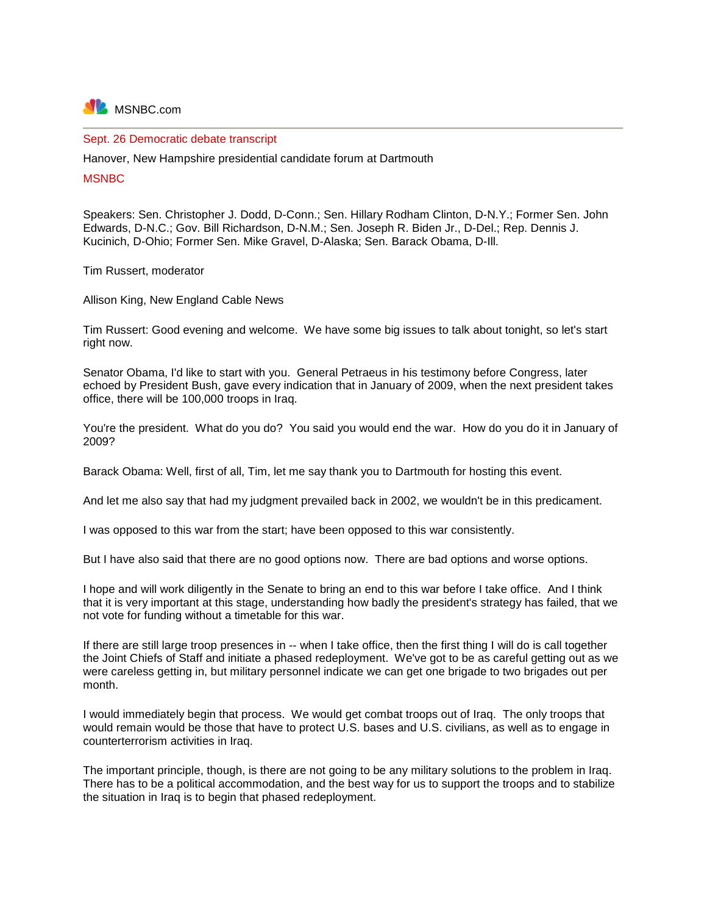# **MSNBC.com**

Sept. 26 Democratic debate transcript

Hanover, New Hampshire presidential candidate forum at Dartmouth

MSNBC

Speakers: Sen. Christopher J. Dodd, D-Conn.; Sen. Hillary Rodham Clinton, D-N.Y.; Former Sen. John Edwards, D-N.C.; Gov. Bill Richardson, D-N.M.; Sen. Joseph R. Biden Jr., D-Del.; Rep. Dennis J. Kucinich, D-Ohio; Former Sen. Mike Gravel, D-Alaska; Sen. Barack Obama, D-Ill.

Tim Russert, moderator

Allison King, New England Cable News

Tim Russert: Good evening and welcome. We have some big issues to talk about tonight, so let's start right now.

Senator Obama, I'd like to start with you. General Petraeus in his testimony before Congress, later echoed by President Bush, gave every indication that in January of 2009, when the next president takes office, there will be 100,000 troops in Iraq.

You're the president. What do you do? You said you would end the war. How do you do it in January of 2009?

Barack Obama: Well, first of all, Tim, let me say thank you to Dartmouth for hosting this event.

And let me also say that had my judgment prevailed back in 2002, we wouldn't be in this predicament.

I was opposed to this war from the start; have been opposed to this war consistently.

But I have also said that there are no good options now. There are bad options and worse options.

I hope and will work diligently in the Senate to bring an end to this war before I take office. And I think that it is very important at this stage, understanding how badly the president's strategy has failed, that we not vote for funding without a timetable for this war.

If there are still large troop presences in -- when I take office, then the first thing I will do is call together the Joint Chiefs of Staff and initiate a phased redeployment. We've got to be as careful getting out as we were careless getting in, but military personnel indicate we can get one brigade to two brigades out per month.

I would immediately begin that process. We would get combat troops out of Iraq. The only troops that would remain would be those that have to protect U.S. bases and U.S. civilians, as well as to engage in counterterrorism activities in Iraq.

The important principle, though, is there are not going to be any military solutions to the problem in Iraq. There has to be a political accommodation, and the best way for us to support the troops and to stabilize the situation in Iraq is to begin that phased redeployment.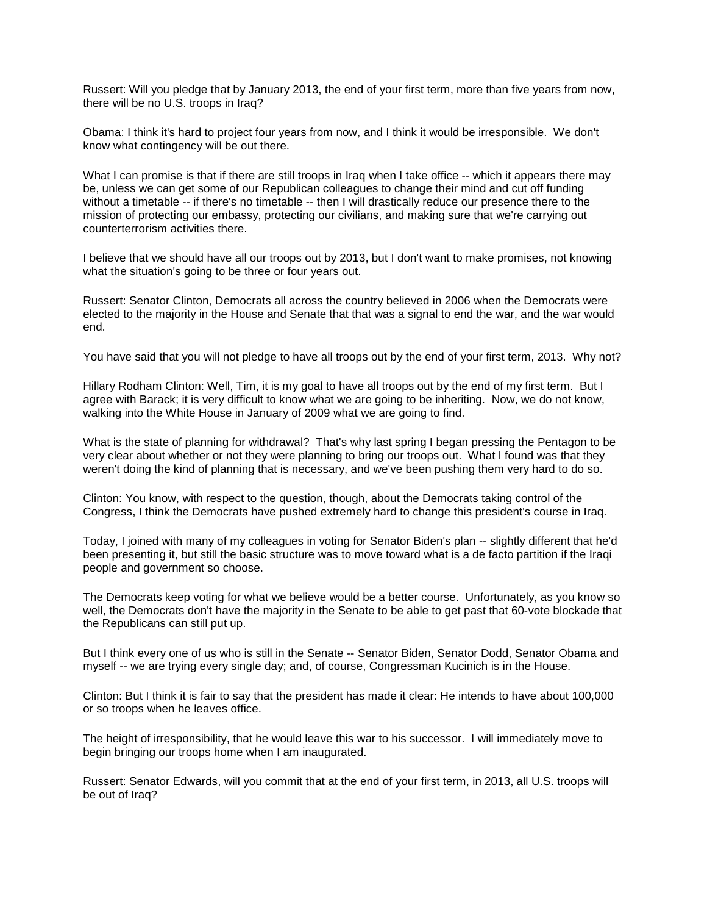Russert: Will you pledge that by January 2013, the end of your first term, more than five years from now, there will be no U.S. troops in Iraq?

Obama: I think it's hard to project four years from now, and I think it would be irresponsible. We don't know what contingency will be out there.

What I can promise is that if there are still troops in Iraq when I take office -- which it appears there may be, unless we can get some of our Republican colleagues to change their mind and cut off funding without a timetable -- if there's no timetable -- then I will drastically reduce our presence there to the mission of protecting our embassy, protecting our civilians, and making sure that we're carrying out counterterrorism activities there.

I believe that we should have all our troops out by 2013, but I don't want to make promises, not knowing what the situation's going to be three or four years out.

Russert: Senator Clinton, Democrats all across the country believed in 2006 when the Democrats were elected to the majority in the House and Senate that that was a signal to end the war, and the war would end.

You have said that you will not pledge to have all troops out by the end of your first term, 2013. Why not?

Hillary Rodham Clinton: Well, Tim, it is my goal to have all troops out by the end of my first term. But I agree with Barack; it is very difficult to know what we are going to be inheriting. Now, we do not know, walking into the White House in January of 2009 what we are going to find.

What is the state of planning for withdrawal? That's why last spring I began pressing the Pentagon to be very clear about whether or not they were planning to bring our troops out. What I found was that they weren't doing the kind of planning that is necessary, and we've been pushing them very hard to do so.

Clinton: You know, with respect to the question, though, about the Democrats taking control of the Congress, I think the Democrats have pushed extremely hard to change this president's course in Iraq.

Today, I joined with many of my colleagues in voting for Senator Biden's plan -- slightly different that he'd been presenting it, but still the basic structure was to move toward what is a de facto partition if the Iraqi people and government so choose.

The Democrats keep voting for what we believe would be a better course. Unfortunately, as you know so well, the Democrats don't have the majority in the Senate to be able to get past that 60-vote blockade that the Republicans can still put up.

But I think every one of us who is still in the Senate -- Senator Biden, Senator Dodd, Senator Obama and myself -- we are trying every single day; and, of course, Congressman Kucinich is in the House.

Clinton: But I think it is fair to say that the president has made it clear: He intends to have about 100,000 or so troops when he leaves office.

The height of irresponsibility, that he would leave this war to his successor. I will immediately move to begin bringing our troops home when I am inaugurated.

Russert: Senator Edwards, will you commit that at the end of your first term, in 2013, all U.S. troops will be out of Iraq?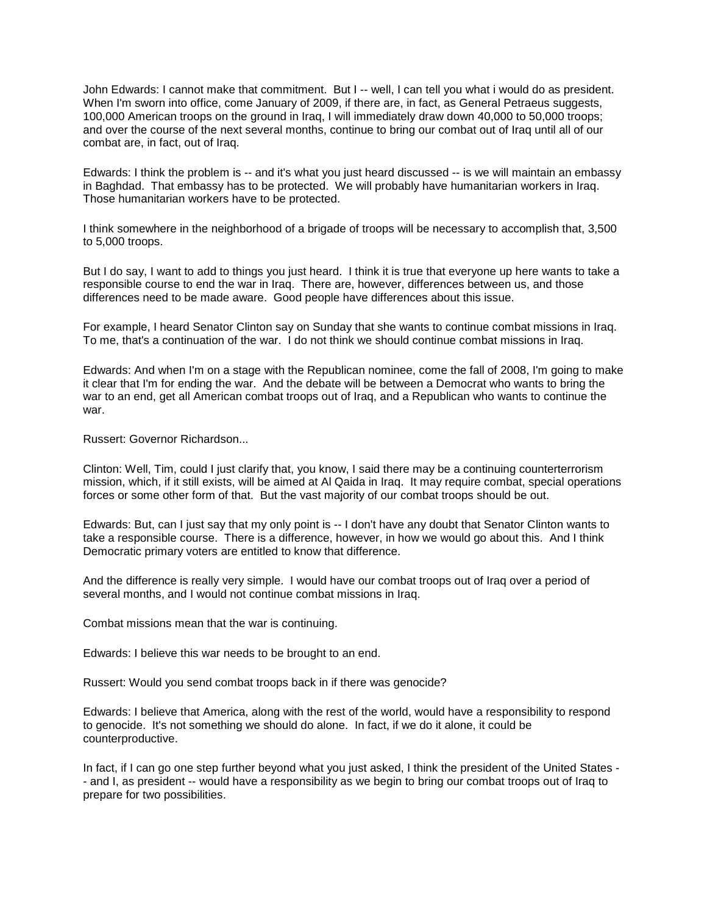John Edwards: I cannot make that commitment. But I -- well, I can tell you what i would do as president. When I'm sworn into office, come January of 2009, if there are, in fact, as General Petraeus suggests, 100,000 American troops on the ground in Iraq, I will immediately draw down 40,000 to 50,000 troops; and over the course of the next several months, continue to bring our combat out of Iraq until all of our combat are, in fact, out of Iraq.

Edwards: I think the problem is -- and it's what you just heard discussed -- is we will maintain an embassy in Baghdad. That embassy has to be protected. We will probably have humanitarian workers in Iraq. Those humanitarian workers have to be protected.

I think somewhere in the neighborhood of a brigade of troops will be necessary to accomplish that, 3,500 to 5,000 troops.

But I do say, I want to add to things you just heard. I think it is true that everyone up here wants to take a responsible course to end the war in Iraq. There are, however, differences between us, and those differences need to be made aware. Good people have differences about this issue.

For example, I heard Senator Clinton say on Sunday that she wants to continue combat missions in Iraq. To me, that's a continuation of the war. I do not think we should continue combat missions in Iraq.

Edwards: And when I'm on a stage with the Republican nominee, come the fall of 2008, I'm going to make it clear that I'm for ending the war. And the debate will be between a Democrat who wants to bring the war to an end, get all American combat troops out of Iraq, and a Republican who wants to continue the war.

Russert: Governor Richardson...

Clinton: Well, Tim, could I just clarify that, you know, I said there may be a continuing counterterrorism mission, which, if it still exists, will be aimed at Al Qaida in Iraq. It may require combat, special operations forces or some other form of that. But the vast majority of our combat troops should be out.

Edwards: But, can I just say that my only point is -- I don't have any doubt that Senator Clinton wants to take a responsible course. There is a difference, however, in how we would go about this. And I think Democratic primary voters are entitled to know that difference.

And the difference is really very simple. I would have our combat troops out of Iraq over a period of several months, and I would not continue combat missions in Iraq.

Combat missions mean that the war is continuing.

Edwards: I believe this war needs to be brought to an end.

Russert: Would you send combat troops back in if there was genocide?

Edwards: I believe that America, along with the rest of the world, would have a responsibility to respond to genocide. It's not something we should do alone. In fact, if we do it alone, it could be counterproductive.

In fact, if I can go one step further beyond what you just asked, I think the president of the United States - - and I, as president -- would have a responsibility as we begin to bring our combat troops out of Iraq to prepare for two possibilities.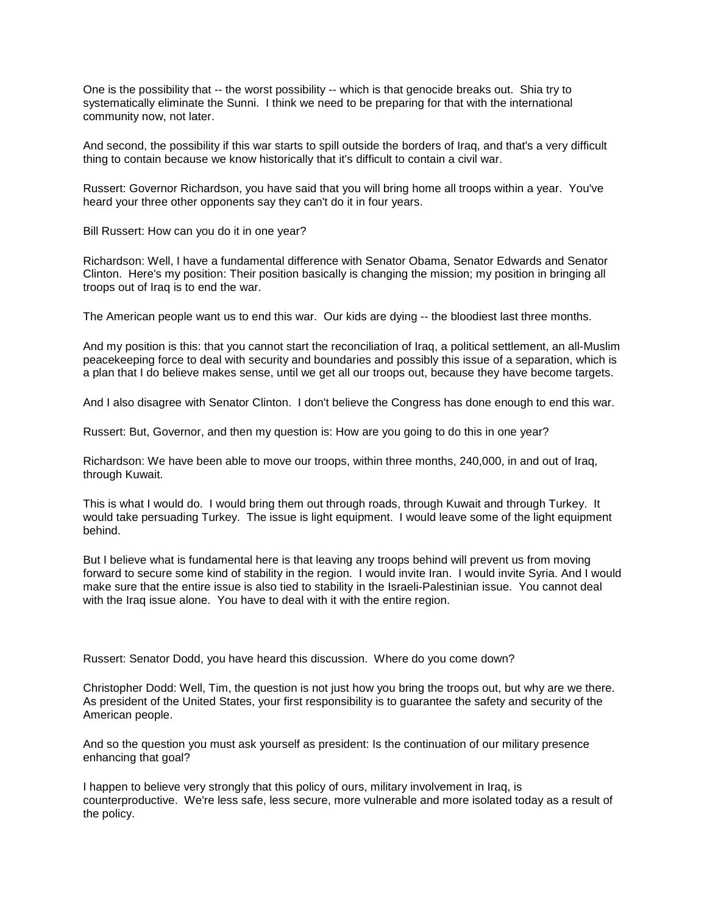One is the possibility that -- the worst possibility -- which is that genocide breaks out. Shia try to systematically eliminate the Sunni. I think we need to be preparing for that with the international community now, not later.

And second, the possibility if this war starts to spill outside the borders of Iraq, and that's a very difficult thing to contain because we know historically that it's difficult to contain a civil war.

Russert: Governor Richardson, you have said that you will bring home all troops within a year. You've heard your three other opponents say they can't do it in four years.

Bill Russert: How can you do it in one year?

Richardson: Well, I have a fundamental difference with Senator Obama, Senator Edwards and Senator Clinton. Here's my position: Their position basically is changing the mission; my position in bringing all troops out of Iraq is to end the war.

The American people want us to end this war. Our kids are dying -- the bloodiest last three months.

And my position is this: that you cannot start the reconciliation of Iraq, a political settlement, an all-Muslim peacekeeping force to deal with security and boundaries and possibly this issue of a separation, which is a plan that I do believe makes sense, until we get all our troops out, because they have become targets.

And I also disagree with Senator Clinton. I don't believe the Congress has done enough to end this war.

Russert: But, Governor, and then my question is: How are you going to do this in one year?

Richardson: We have been able to move our troops, within three months, 240,000, in and out of Iraq, through Kuwait.

This is what I would do. I would bring them out through roads, through Kuwait and through Turkey. It would take persuading Turkey. The issue is light equipment. I would leave some of the light equipment behind.

But I believe what is fundamental here is that leaving any troops behind will prevent us from moving forward to secure some kind of stability in the region. I would invite Iran. I would invite Syria. And I would make sure that the entire issue is also tied to stability in the Israeli-Palestinian issue. You cannot deal with the Iraq issue alone. You have to deal with it with the entire region.

Russert: Senator Dodd, you have heard this discussion. Where do you come down?

Christopher Dodd: Well, Tim, the question is not just how you bring the troops out, but why are we there. As president of the United States, your first responsibility is to guarantee the safety and security of the American people.

And so the question you must ask yourself as president: Is the continuation of our military presence enhancing that goal?

I happen to believe very strongly that this policy of ours, military involvement in Iraq, is counterproductive. We're less safe, less secure, more vulnerable and more isolated today as a result of the policy.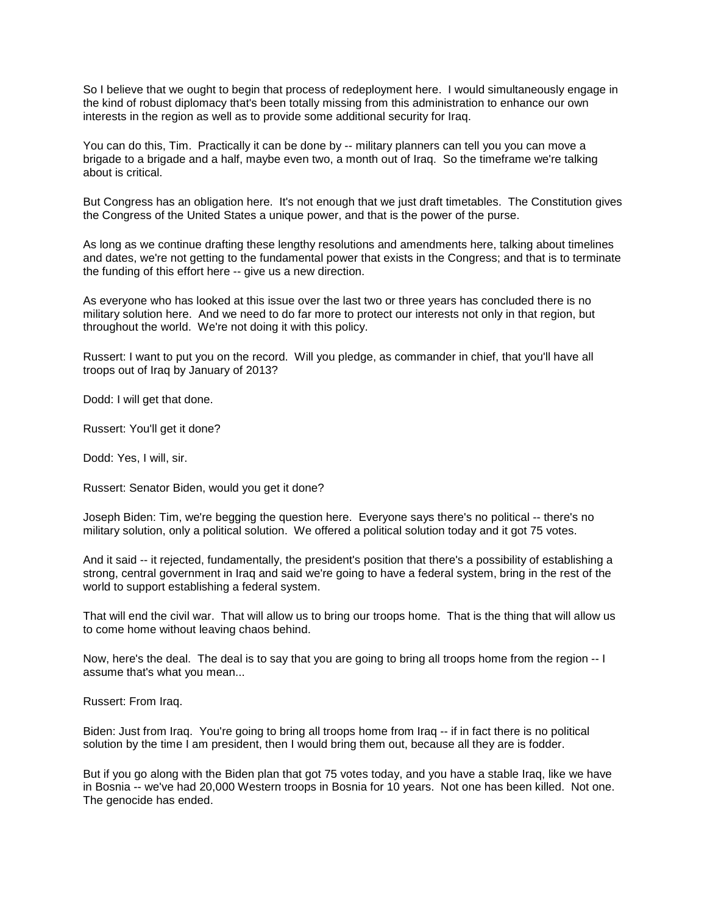So I believe that we ought to begin that process of redeployment here. I would simultaneously engage in the kind of robust diplomacy that's been totally missing from this administration to enhance our own interests in the region as well as to provide some additional security for Iraq.

You can do this, Tim. Practically it can be done by -- military planners can tell you you can move a brigade to a brigade and a half, maybe even two, a month out of Iraq. So the timeframe we're talking about is critical.

But Congress has an obligation here. It's not enough that we just draft timetables. The Constitution gives the Congress of the United States a unique power, and that is the power of the purse.

As long as we continue drafting these lengthy resolutions and amendments here, talking about timelines and dates, we're not getting to the fundamental power that exists in the Congress; and that is to terminate the funding of this effort here -- give us a new direction.

As everyone who has looked at this issue over the last two or three years has concluded there is no military solution here. And we need to do far more to protect our interests not only in that region, but throughout the world. We're not doing it with this policy.

Russert: I want to put you on the record. Will you pledge, as commander in chief, that you'll have all troops out of Iraq by January of 2013?

Dodd: I will get that done.

Russert: You'll get it done?

Dodd: Yes, I will, sir.

Russert: Senator Biden, would you get it done?

Joseph Biden: Tim, we're begging the question here. Everyone says there's no political -- there's no military solution, only a political solution. We offered a political solution today and it got 75 votes.

And it said -- it rejected, fundamentally, the president's position that there's a possibility of establishing a strong, central government in Iraq and said we're going to have a federal system, bring in the rest of the world to support establishing a federal system.

That will end the civil war. That will allow us to bring our troops home. That is the thing that will allow us to come home without leaving chaos behind.

Now, here's the deal. The deal is to say that you are going to bring all troops home from the region -- I assume that's what you mean...

Russert: From Iraq.

Biden: Just from Iraq. You're going to bring all troops home from Iraq -- if in fact there is no political solution by the time I am president, then I would bring them out, because all they are is fodder.

But if you go along with the Biden plan that got 75 votes today, and you have a stable Iraq, like we have in Bosnia -- we've had 20,000 Western troops in Bosnia for 10 years. Not one has been killed. Not one. The genocide has ended.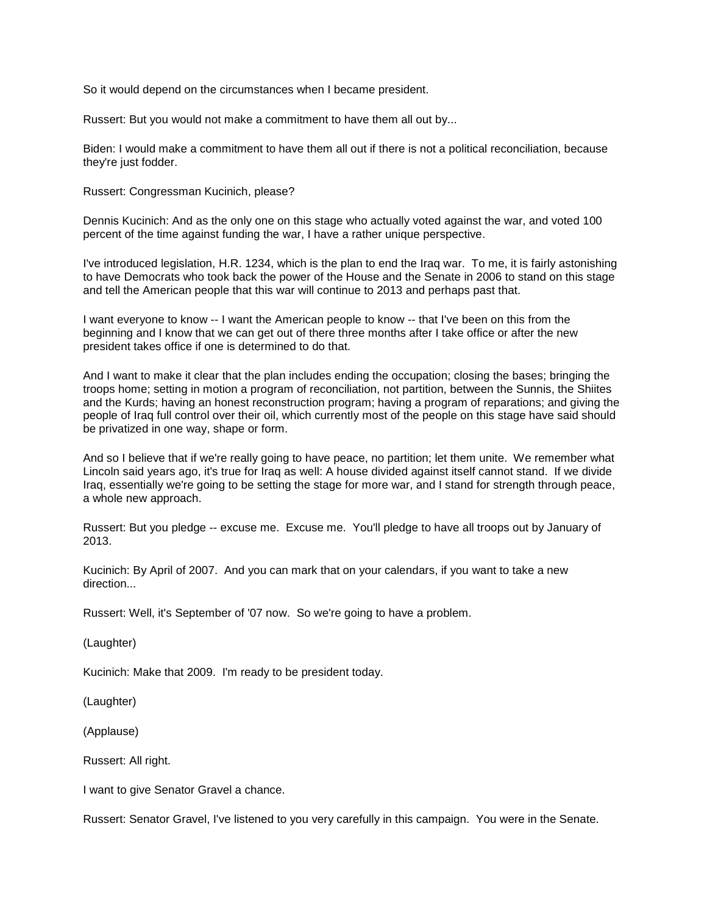So it would depend on the circumstances when I became president.

Russert: But you would not make a commitment to have them all out by...

Biden: I would make a commitment to have them all out if there is not a political reconciliation, because they're just fodder.

Russert: Congressman Kucinich, please?

Dennis Kucinich: And as the only one on this stage who actually voted against the war, and voted 100 percent of the time against funding the war, I have a rather unique perspective.

I've introduced legislation, H.R. 1234, which is the plan to end the Iraq war. To me, it is fairly astonishing to have Democrats who took back the power of the House and the Senate in 2006 to stand on this stage and tell the American people that this war will continue to 2013 and perhaps past that.

I want everyone to know -- I want the American people to know -- that I've been on this from the beginning and I know that we can get out of there three months after I take office or after the new president takes office if one is determined to do that.

And I want to make it clear that the plan includes ending the occupation; closing the bases; bringing the troops home; setting in motion a program of reconciliation, not partition, between the Sunnis, the Shiites and the Kurds; having an honest reconstruction program; having a program of reparations; and giving the people of Iraq full control over their oil, which currently most of the people on this stage have said should be privatized in one way, shape or form.

And so I believe that if we're really going to have peace, no partition; let them unite. We remember what Lincoln said years ago, it's true for Iraq as well: A house divided against itself cannot stand. If we divide Iraq, essentially we're going to be setting the stage for more war, and I stand for strength through peace, a whole new approach.

Russert: But you pledge -- excuse me. Excuse me. You'll pledge to have all troops out by January of 2013.

Kucinich: By April of 2007. And you can mark that on your calendars, if you want to take a new direction...

Russert: Well, it's September of '07 now. So we're going to have a problem.

(Laughter)

Kucinich: Make that 2009. I'm ready to be president today.

(Laughter)

(Applause)

Russert: All right.

I want to give Senator Gravel a chance.

Russert: Senator Gravel, I've listened to you very carefully in this campaign. You were in the Senate.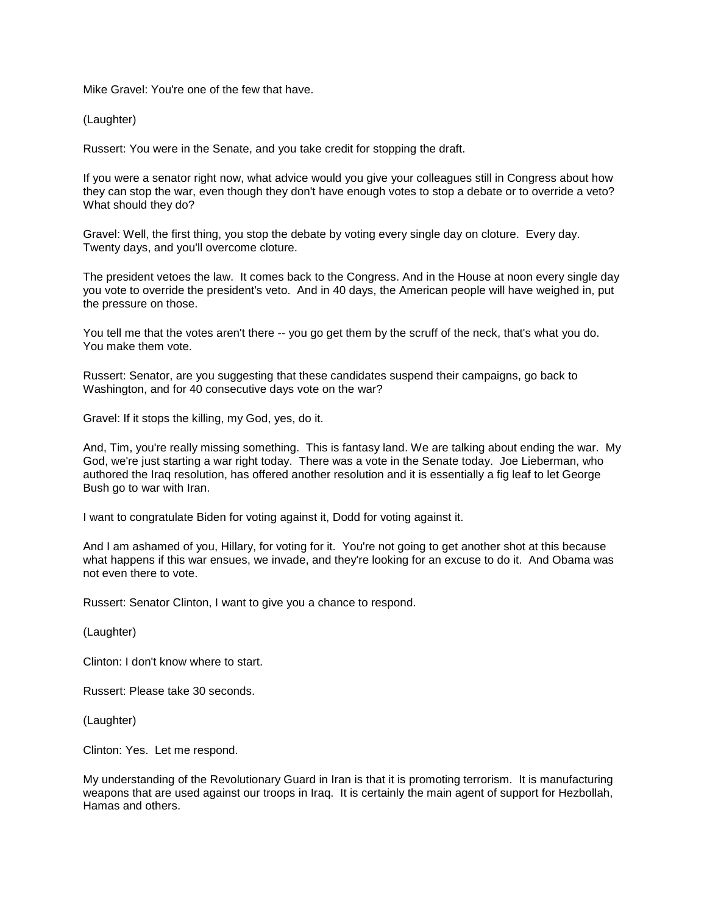Mike Gravel: You're one of the few that have.

(Laughter)

Russert: You were in the Senate, and you take credit for stopping the draft.

If you were a senator right now, what advice would you give your colleagues still in Congress about how they can stop the war, even though they don't have enough votes to stop a debate or to override a veto? What should they do?

Gravel: Well, the first thing, you stop the debate by voting every single day on cloture. Every day. Twenty days, and you'll overcome cloture.

The president vetoes the law. It comes back to the Congress. And in the House at noon every single day you vote to override the president's veto. And in 40 days, the American people will have weighed in, put the pressure on those.

You tell me that the votes aren't there -- you go get them by the scruff of the neck, that's what you do. You make them vote.

Russert: Senator, are you suggesting that these candidates suspend their campaigns, go back to Washington, and for 40 consecutive days vote on the war?

Gravel: If it stops the killing, my God, yes, do it.

And, Tim, you're really missing something. This is fantasy land. We are talking about ending the war. My God, we're just starting a war right today. There was a vote in the Senate today. Joe Lieberman, who authored the Iraq resolution, has offered another resolution and it is essentially a fig leaf to let George Bush go to war with Iran.

I want to congratulate Biden for voting against it, Dodd for voting against it.

And I am ashamed of you, Hillary, for voting for it. You're not going to get another shot at this because what happens if this war ensues, we invade, and they're looking for an excuse to do it. And Obama was not even there to vote.

Russert: Senator Clinton, I want to give you a chance to respond.

(Laughter)

Clinton: I don't know where to start.

Russert: Please take 30 seconds.

(Laughter)

Clinton: Yes. Let me respond.

My understanding of the Revolutionary Guard in Iran is that it is promoting terrorism. It is manufacturing weapons that are used against our troops in Iraq. It is certainly the main agent of support for Hezbollah, Hamas and others.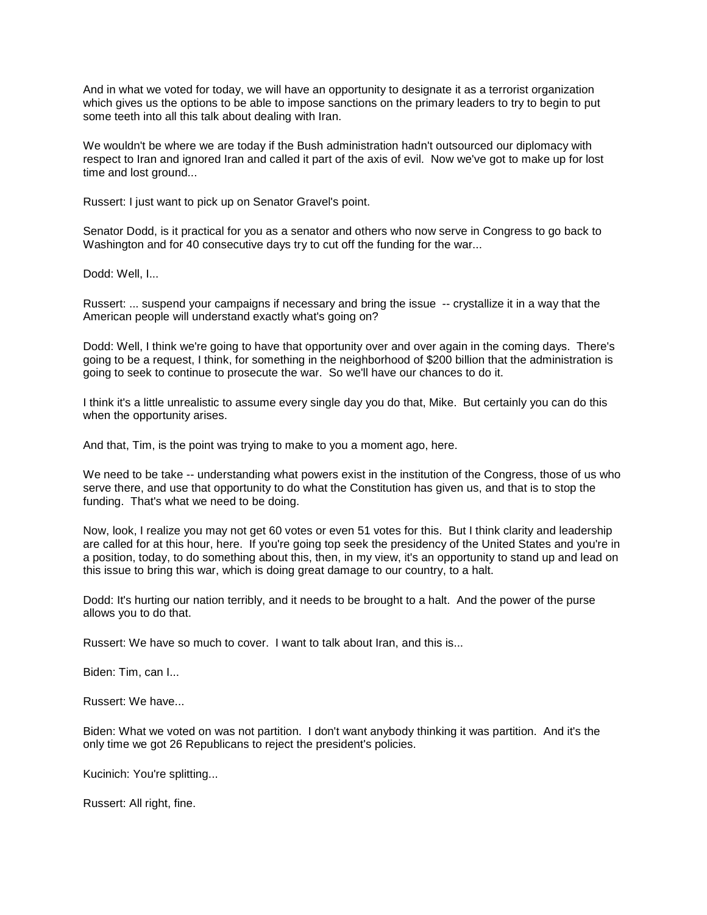And in what we voted for today, we will have an opportunity to designate it as a terrorist organization which gives us the options to be able to impose sanctions on the primary leaders to try to begin to put some teeth into all this talk about dealing with Iran.

We wouldn't be where we are today if the Bush administration hadn't outsourced our diplomacy with respect to Iran and ignored Iran and called it part of the axis of evil. Now we've got to make up for lost time and lost ground...

Russert: I just want to pick up on Senator Gravel's point.

Senator Dodd, is it practical for you as a senator and others who now serve in Congress to go back to Washington and for 40 consecutive days try to cut off the funding for the war...

Dodd: Well, I...

Russert: ... suspend your campaigns if necessary and bring the issue -- crystallize it in a way that the American people will understand exactly what's going on?

Dodd: Well, I think we're going to have that opportunity over and over again in the coming days. There's going to be a request, I think, for something in the neighborhood of \$200 billion that the administration is going to seek to continue to prosecute the war. So we'll have our chances to do it.

I think it's a little unrealistic to assume every single day you do that, Mike. But certainly you can do this when the opportunity arises.

And that, Tim, is the point was trying to make to you a moment ago, here.

We need to be take -- understanding what powers exist in the institution of the Congress, those of us who serve there, and use that opportunity to do what the Constitution has given us, and that is to stop the funding. That's what we need to be doing.

Now, look, I realize you may not get 60 votes or even 51 votes for this. But I think clarity and leadership are called for at this hour, here. If you're going top seek the presidency of the United States and you're in a position, today, to do something about this, then, in my view, it's an opportunity to stand up and lead on this issue to bring this war, which is doing great damage to our country, to a halt.

Dodd: It's hurting our nation terribly, and it needs to be brought to a halt. And the power of the purse allows you to do that.

Russert: We have so much to cover. I want to talk about Iran, and this is...

Biden: Tim, can I...

Russert: We have...

Biden: What we voted on was not partition. I don't want anybody thinking it was partition. And it's the only time we got 26 Republicans to reject the president's policies.

Kucinich: You're splitting...

Russert: All right, fine.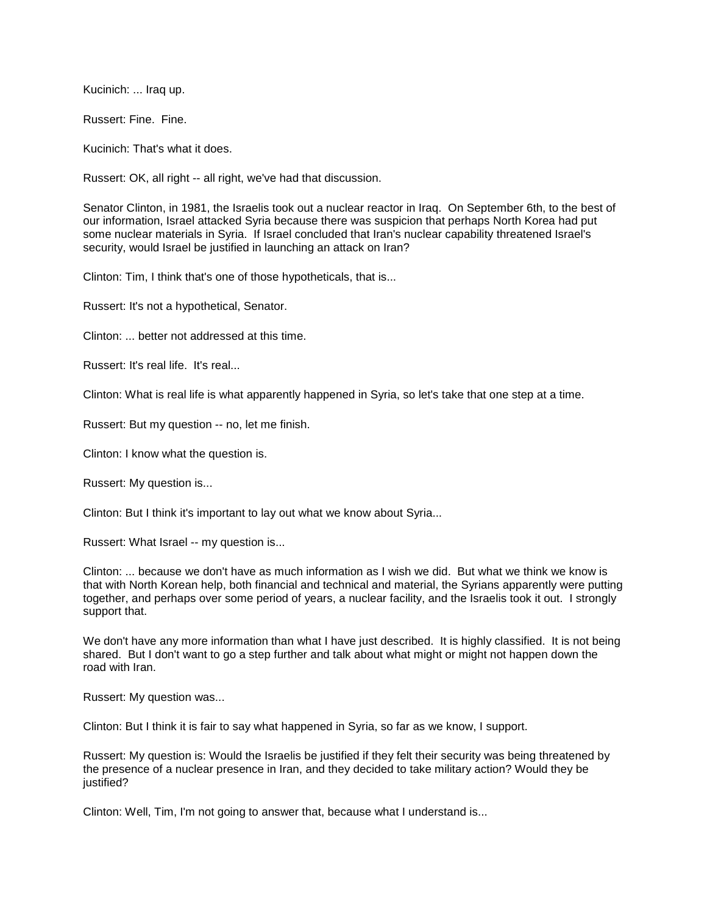Kucinich: ... Iraq up.

Russert: Fine. Fine.

Kucinich: That's what it does.

Russert: OK, all right -- all right, we've had that discussion.

Senator Clinton, in 1981, the Israelis took out a nuclear reactor in Iraq. On September 6th, to the best of our information, Israel attacked Syria because there was suspicion that perhaps North Korea had put some nuclear materials in Syria. If Israel concluded that Iran's nuclear capability threatened Israel's security, would Israel be justified in launching an attack on Iran?

Clinton: Tim, I think that's one of those hypotheticals, that is...

Russert: It's not a hypothetical, Senator.

Clinton: ... better not addressed at this time.

Russert: It's real life. It's real...

Clinton: What is real life is what apparently happened in Syria, so let's take that one step at a time.

Russert: But my question -- no, let me finish.

Clinton: I know what the question is.

Russert: My question is...

Clinton: But I think it's important to lay out what we know about Syria...

Russert: What Israel -- my question is...

Clinton: ... because we don't have as much information as I wish we did. But what we think we know is that with North Korean help, both financial and technical and material, the Syrians apparently were putting together, and perhaps over some period of years, a nuclear facility, and the Israelis took it out. I strongly support that.

We don't have any more information than what I have just described. It is highly classified. It is not being shared. But I don't want to go a step further and talk about what might or might not happen down the road with Iran.

Russert: My question was...

Clinton: But I think it is fair to say what happened in Syria, so far as we know, I support.

Russert: My question is: Would the Israelis be justified if they felt their security was being threatened by the presence of a nuclear presence in Iran, and they decided to take military action? Would they be justified?

Clinton: Well, Tim, I'm not going to answer that, because what I understand is...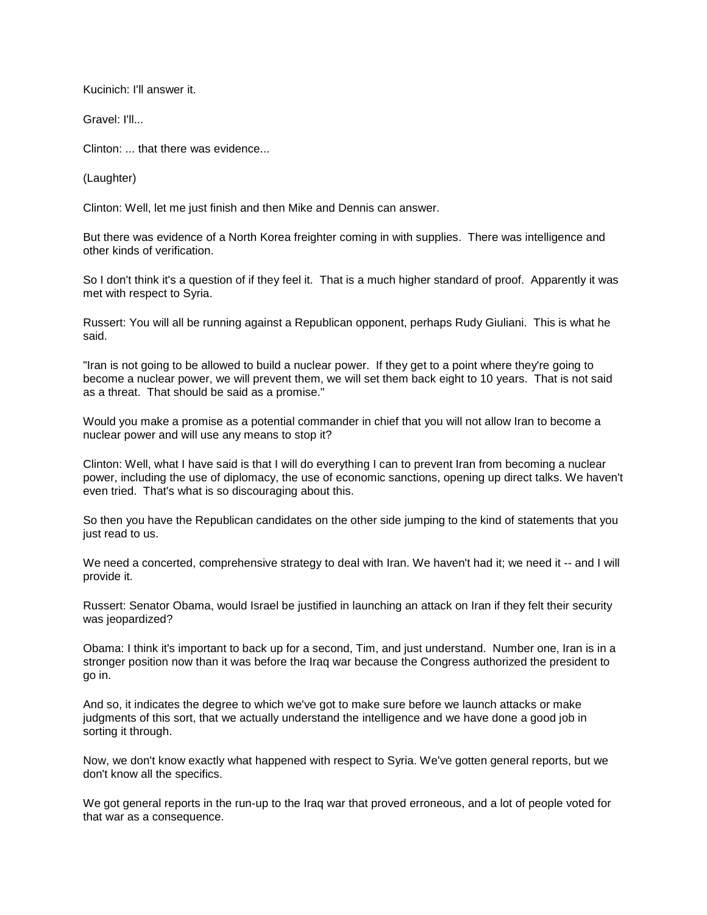Kucinich: I'll answer it.

Gravel: I'll...

Clinton: ... that there was evidence...

(Laughter)

Clinton: Well, let me just finish and then Mike and Dennis can answer.

But there was evidence of a North Korea freighter coming in with supplies. There was intelligence and other kinds of verification.

So I don't think it's a question of if they feel it. That is a much higher standard of proof. Apparently it was met with respect to Syria.

Russert: You will all be running against a Republican opponent, perhaps Rudy Giuliani. This is what he said.

"Iran is not going to be allowed to build a nuclear power. If they get to a point where they're going to become a nuclear power, we will prevent them, we will set them back eight to 10 years. That is not said as a threat. That should be said as a promise."

Would you make a promise as a potential commander in chief that you will not allow Iran to become a nuclear power and will use any means to stop it?

Clinton: Well, what I have said is that I will do everything I can to prevent Iran from becoming a nuclear power, including the use of diplomacy, the use of economic sanctions, opening up direct talks. We haven't even tried. That's what is so discouraging about this.

So then you have the Republican candidates on the other side jumping to the kind of statements that you just read to us.

We need a concerted, comprehensive strategy to deal with Iran. We haven't had it; we need it -- and I will provide it.

Russert: Senator Obama, would Israel be justified in launching an attack on Iran if they felt their security was jeopardized?

Obama: I think it's important to back up for a second, Tim, and just understand. Number one, Iran is in a stronger position now than it was before the Iraq war because the Congress authorized the president to go in.

And so, it indicates the degree to which we've got to make sure before we launch attacks or make judgments of this sort, that we actually understand the intelligence and we have done a good job in sorting it through.

Now, we don't know exactly what happened with respect to Syria. We've gotten general reports, but we don't know all the specifics.

We got general reports in the run-up to the Iraq war that proved erroneous, and a lot of people voted for that war as a consequence.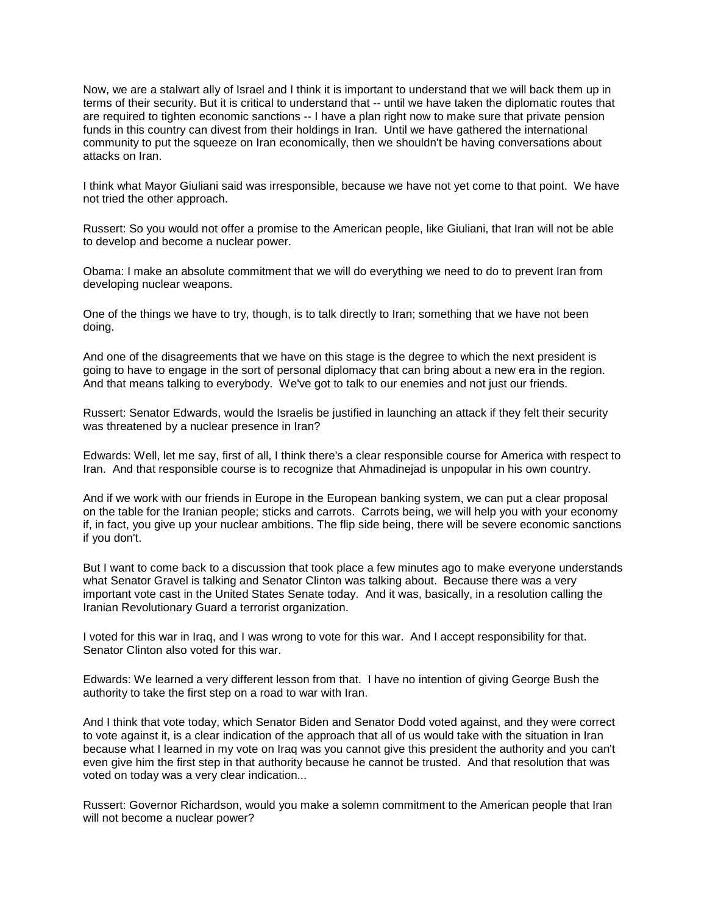Now, we are a stalwart ally of Israel and I think it is important to understand that we will back them up in terms of their security. But it is critical to understand that -- until we have taken the diplomatic routes that are required to tighten economic sanctions -- I have a plan right now to make sure that private pension funds in this country can divest from their holdings in Iran. Until we have gathered the international community to put the squeeze on Iran economically, then we shouldn't be having conversations about attacks on Iran.

I think what Mayor Giuliani said was irresponsible, because we have not yet come to that point. We have not tried the other approach.

Russert: So you would not offer a promise to the American people, like Giuliani, that Iran will not be able to develop and become a nuclear power.

Obama: I make an absolute commitment that we will do everything we need to do to prevent Iran from developing nuclear weapons.

One of the things we have to try, though, is to talk directly to Iran; something that we have not been doing.

And one of the disagreements that we have on this stage is the degree to which the next president is going to have to engage in the sort of personal diplomacy that can bring about a new era in the region. And that means talking to everybody. We've got to talk to our enemies and not just our friends.

Russert: Senator Edwards, would the Israelis be justified in launching an attack if they felt their security was threatened by a nuclear presence in Iran?

Edwards: Well, let me say, first of all, I think there's a clear responsible course for America with respect to Iran. And that responsible course is to recognize that Ahmadinejad is unpopular in his own country.

And if we work with our friends in Europe in the European banking system, we can put a clear proposal on the table for the Iranian people; sticks and carrots. Carrots being, we will help you with your economy if, in fact, you give up your nuclear ambitions. The flip side being, there will be severe economic sanctions if you don't.

But I want to come back to a discussion that took place a few minutes ago to make everyone understands what Senator Gravel is talking and Senator Clinton was talking about. Because there was a very important vote cast in the United States Senate today. And it was, basically, in a resolution calling the Iranian Revolutionary Guard a terrorist organization.

I voted for this war in Iraq, and I was wrong to vote for this war. And I accept responsibility for that. Senator Clinton also voted for this war.

Edwards: We learned a very different lesson from that. I have no intention of giving George Bush the authority to take the first step on a road to war with Iran.

And I think that vote today, which Senator Biden and Senator Dodd voted against, and they were correct to vote against it, is a clear indication of the approach that all of us would take with the situation in Iran because what I learned in my vote on Iraq was you cannot give this president the authority and you can't even give him the first step in that authority because he cannot be trusted. And that resolution that was voted on today was a very clear indication...

Russert: Governor Richardson, would you make a solemn commitment to the American people that Iran will not become a nuclear power?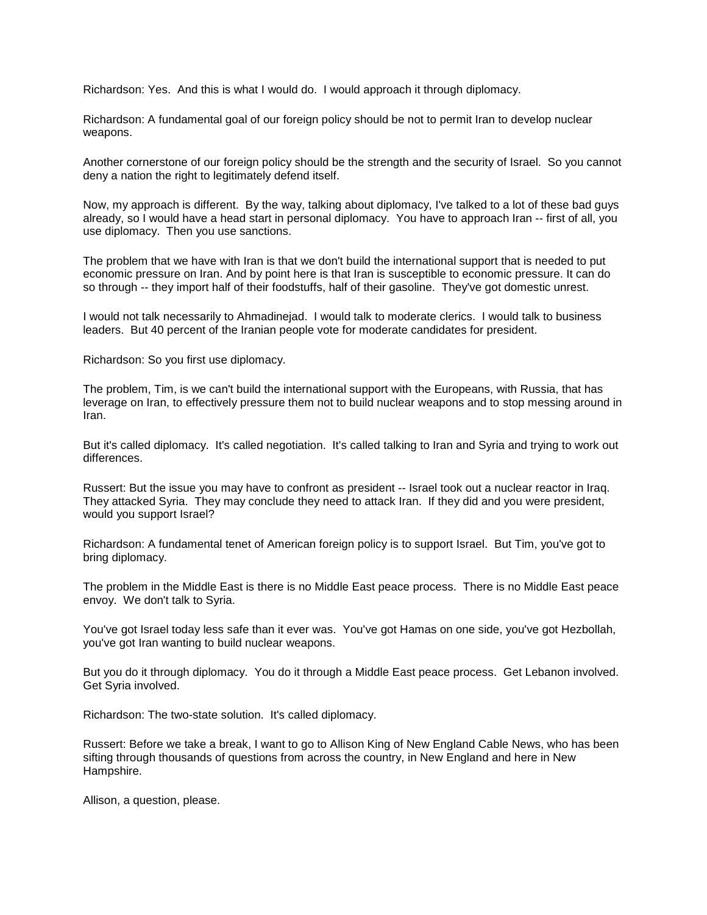Richardson: Yes. And this is what I would do. I would approach it through diplomacy.

Richardson: A fundamental goal of our foreign policy should be not to permit Iran to develop nuclear weapons.

Another cornerstone of our foreign policy should be the strength and the security of Israel. So you cannot deny a nation the right to legitimately defend itself.

Now, my approach is different. By the way, talking about diplomacy, I've talked to a lot of these bad guys already, so I would have a head start in personal diplomacy. You have to approach Iran -- first of all, you use diplomacy. Then you use sanctions.

The problem that we have with Iran is that we don't build the international support that is needed to put economic pressure on Iran. And by point here is that Iran is susceptible to economic pressure. It can do so through -- they import half of their foodstuffs, half of their gasoline. They've got domestic unrest.

I would not talk necessarily to Ahmadinejad. I would talk to moderate clerics. I would talk to business leaders. But 40 percent of the Iranian people vote for moderate candidates for president.

Richardson: So you first use diplomacy.

The problem, Tim, is we can't build the international support with the Europeans, with Russia, that has leverage on Iran, to effectively pressure them not to build nuclear weapons and to stop messing around in Iran.

But it's called diplomacy. It's called negotiation. It's called talking to Iran and Syria and trying to work out differences.

Russert: But the issue you may have to confront as president -- Israel took out a nuclear reactor in Iraq. They attacked Syria. They may conclude they need to attack Iran. If they did and you were president, would you support Israel?

Richardson: A fundamental tenet of American foreign policy is to support Israel. But Tim, you've got to bring diplomacy.

The problem in the Middle East is there is no Middle East peace process. There is no Middle East peace envoy. We don't talk to Syria.

You've got Israel today less safe than it ever was. You've got Hamas on one side, you've got Hezbollah, you've got Iran wanting to build nuclear weapons.

But you do it through diplomacy. You do it through a Middle East peace process. Get Lebanon involved. Get Syria involved.

Richardson: The two-state solution. It's called diplomacy.

Russert: Before we take a break, I want to go to Allison King of New England Cable News, who has been sifting through thousands of questions from across the country, in New England and here in New Hampshire.

Allison, a question, please.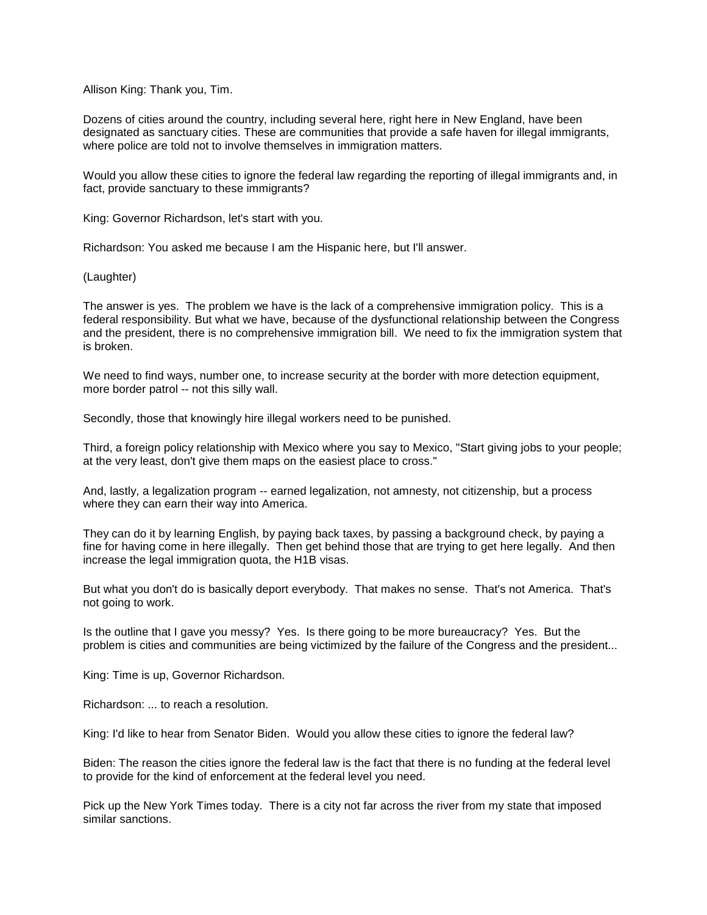Allison King: Thank you, Tim.

Dozens of cities around the country, including several here, right here in New England, have been designated as sanctuary cities. These are communities that provide a safe haven for illegal immigrants, where police are told not to involve themselves in immigration matters.

Would you allow these cities to ignore the federal law regarding the reporting of illegal immigrants and, in fact, provide sanctuary to these immigrants?

King: Governor Richardson, let's start with you.

Richardson: You asked me because I am the Hispanic here, but I'll answer.

(Laughter)

The answer is yes. The problem we have is the lack of a comprehensive immigration policy. This is a federal responsibility. But what we have, because of the dysfunctional relationship between the Congress and the president, there is no comprehensive immigration bill. We need to fix the immigration system that is broken.

We need to find ways, number one, to increase security at the border with more detection equipment, more border patrol -- not this silly wall.

Secondly, those that knowingly hire illegal workers need to be punished.

Third, a foreign policy relationship with Mexico where you say to Mexico, "Start giving jobs to your people; at the very least, don't give them maps on the easiest place to cross."

And, lastly, a legalization program -- earned legalization, not amnesty, not citizenship, but a process where they can earn their way into America.

They can do it by learning English, by paying back taxes, by passing a background check, by paying a fine for having come in here illegally. Then get behind those that are trying to get here legally. And then increase the legal immigration quota, the H1B visas.

But what you don't do is basically deport everybody. That makes no sense. That's not America. That's not going to work.

Is the outline that I gave you messy? Yes. Is there going to be more bureaucracy? Yes. But the problem is cities and communities are being victimized by the failure of the Congress and the president...

King: Time is up, Governor Richardson.

Richardson: ... to reach a resolution.

King: I'd like to hear from Senator Biden. Would you allow these cities to ignore the federal law?

Biden: The reason the cities ignore the federal law is the fact that there is no funding at the federal level to provide for the kind of enforcement at the federal level you need.

Pick up the New York Times today. There is a city not far across the river from my state that imposed similar sanctions.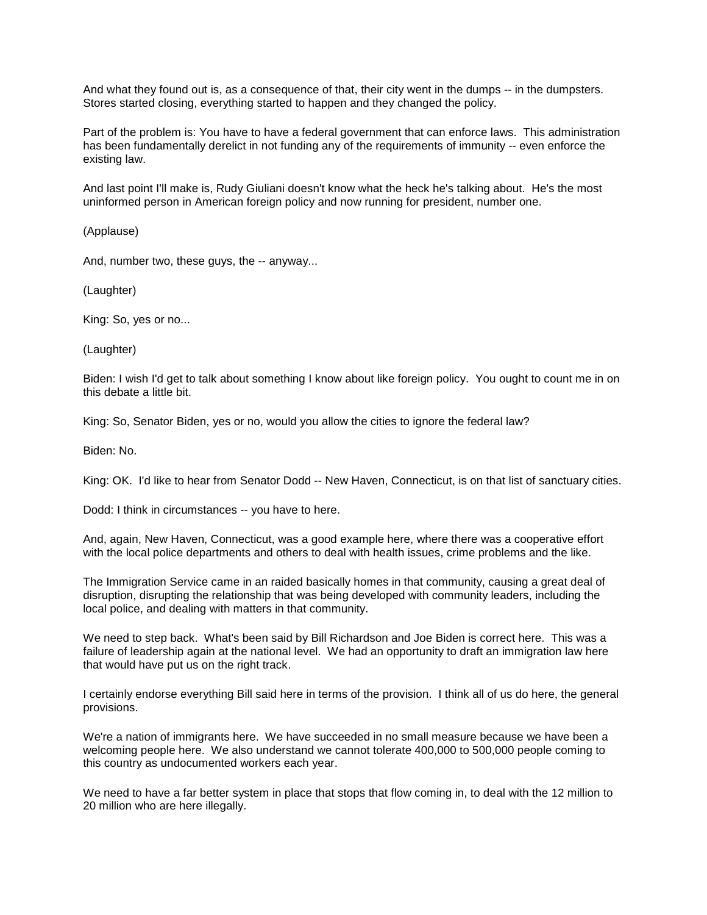And what they found out is, as a consequence of that, their city went in the dumps -- in the dumpsters. Stores started closing, everything started to happen and they changed the policy.

Part of the problem is: You have to have a federal government that can enforce laws. This administration has been fundamentally derelict in not funding any of the requirements of immunity -- even enforce the existing law.

And last point I'll make is, Rudy Giuliani doesn't know what the heck he's talking about. He's the most uninformed person in American foreign policy and now running for president, number one.

(Applause)

And, number two, these guys, the -- anyway...

(Laughter)

King: So, yes or no...

(Laughter)

Biden: I wish I'd get to talk about something I know about like foreign policy. You ought to count me in on this debate a little bit.

King: So, Senator Biden, yes or no, would you allow the cities to ignore the federal law?

Biden: No.

King: OK. I'd like to hear from Senator Dodd -- New Haven, Connecticut, is on that list of sanctuary cities.

Dodd: I think in circumstances -- you have to here.

And, again, New Haven, Connecticut, was a good example here, where there was a cooperative effort with the local police departments and others to deal with health issues, crime problems and the like.

The Immigration Service came in an raided basically homes in that community, causing a great deal of disruption, disrupting the relationship that was being developed with community leaders, including the local police, and dealing with matters in that community.

We need to step back. What's been said by Bill Richardson and Joe Biden is correct here. This was a failure of leadership again at the national level. We had an opportunity to draft an immigration law here that would have put us on the right track.

I certainly endorse everything Bill said here in terms of the provision. I think all of us do here, the general provisions.

We're a nation of immigrants here. We have succeeded in no small measure because we have been a welcoming people here. We also understand we cannot tolerate 400,000 to 500,000 people coming to this country as undocumented workers each year.

We need to have a far better system in place that stops that flow coming in, to deal with the 12 million to 20 million who are here illegally.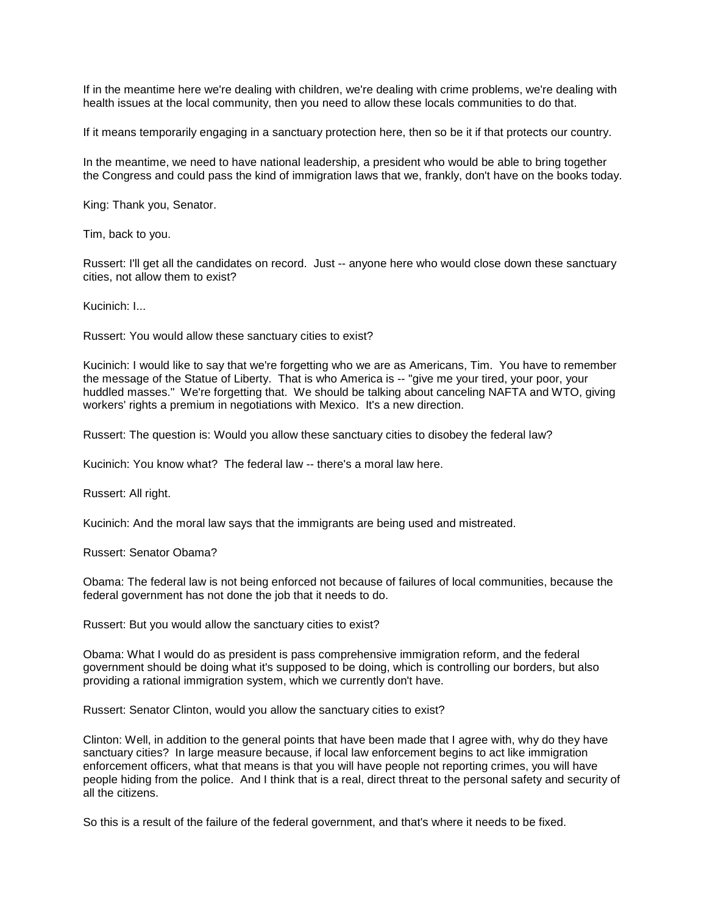If in the meantime here we're dealing with children, we're dealing with crime problems, we're dealing with health issues at the local community, then you need to allow these locals communities to do that.

If it means temporarily engaging in a sanctuary protection here, then so be it if that protects our country.

In the meantime, we need to have national leadership, a president who would be able to bring together the Congress and could pass the kind of immigration laws that we, frankly, don't have on the books today.

King: Thank you, Senator.

Tim, back to you.

Russert: I'll get all the candidates on record. Just -- anyone here who would close down these sanctuary cities, not allow them to exist?

Kucinich: I...

Russert: You would allow these sanctuary cities to exist?

Kucinich: I would like to say that we're forgetting who we are as Americans, Tim. You have to remember the message of the Statue of Liberty. That is who America is -- "give me your tired, your poor, your huddled masses." We're forgetting that. We should be talking about canceling NAFTA and WTO, giving workers' rights a premium in negotiations with Mexico. It's a new direction.

Russert: The question is: Would you allow these sanctuary cities to disobey the federal law?

Kucinich: You know what? The federal law -- there's a moral law here.

Russert: All right.

Kucinich: And the moral law says that the immigrants are being used and mistreated.

Russert: Senator Obama?

Obama: The federal law is not being enforced not because of failures of local communities, because the federal government has not done the job that it needs to do.

Russert: But you would allow the sanctuary cities to exist?

Obama: What I would do as president is pass comprehensive immigration reform, and the federal government should be doing what it's supposed to be doing, which is controlling our borders, but also providing a rational immigration system, which we currently don't have.

Russert: Senator Clinton, would you allow the sanctuary cities to exist?

Clinton: Well, in addition to the general points that have been made that I agree with, why do they have sanctuary cities? In large measure because, if local law enforcement begins to act like immigration enforcement officers, what that means is that you will have people not reporting crimes, you will have people hiding from the police. And I think that is a real, direct threat to the personal safety and security of all the citizens.

So this is a result of the failure of the federal government, and that's where it needs to be fixed.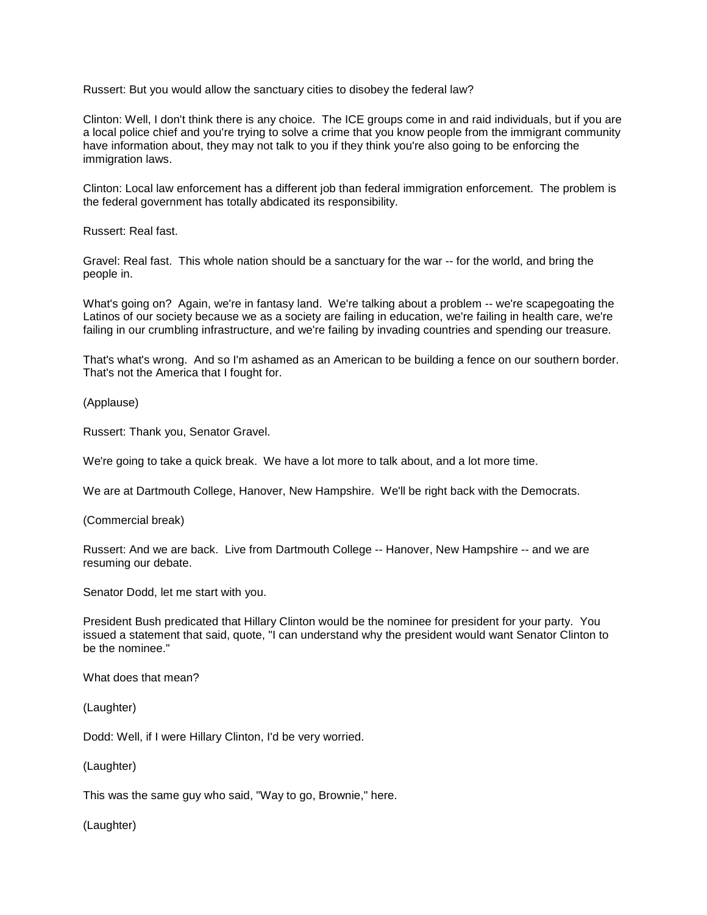Russert: But you would allow the sanctuary cities to disobey the federal law?

Clinton: Well, I don't think there is any choice. The ICE groups come in and raid individuals, but if you are a local police chief and you're trying to solve a crime that you know people from the immigrant community have information about, they may not talk to you if they think you're also going to be enforcing the immigration laws.

Clinton: Local law enforcement has a different job than federal immigration enforcement. The problem is the federal government has totally abdicated its responsibility.

Russert: Real fast.

Gravel: Real fast. This whole nation should be a sanctuary for the war -- for the world, and bring the people in.

What's going on? Again, we're in fantasy land. We're talking about a problem -- we're scapegoating the Latinos of our society because we as a society are failing in education, we're failing in health care, we're failing in our crumbling infrastructure, and we're failing by invading countries and spending our treasure.

That's what's wrong. And so I'm ashamed as an American to be building a fence on our southern border. That's not the America that I fought for.

(Applause)

Russert: Thank you, Senator Gravel.

We're going to take a quick break. We have a lot more to talk about, and a lot more time.

We are at Dartmouth College, Hanover, New Hampshire. We'll be right back with the Democrats.

(Commercial break)

Russert: And we are back. Live from Dartmouth College -- Hanover, New Hampshire -- and we are resuming our debate.

Senator Dodd, let me start with you.

President Bush predicated that Hillary Clinton would be the nominee for president for your party. You issued a statement that said, quote, "I can understand why the president would want Senator Clinton to be the nominee."

What does that mean?

(Laughter)

Dodd: Well, if I were Hillary Clinton, I'd be very worried.

(Laughter)

This was the same guy who said, "Way to go, Brownie," here.

(Laughter)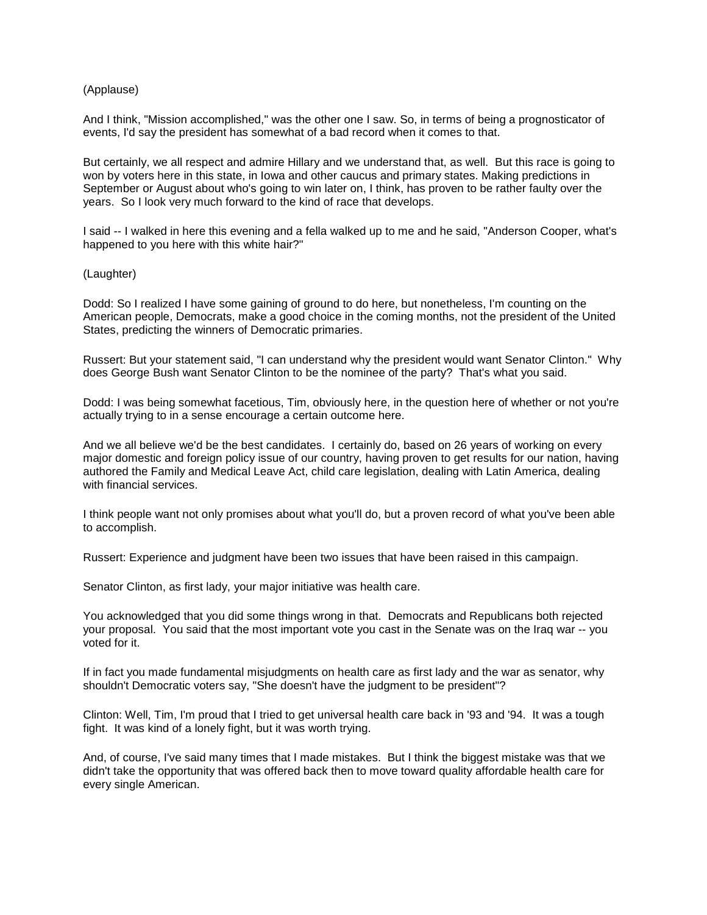### (Applause)

And I think, "Mission accomplished," was the other one I saw. So, in terms of being a prognosticator of events, I'd say the president has somewhat of a bad record when it comes to that.

But certainly, we all respect and admire Hillary and we understand that, as well. But this race is going to won by voters here in this state, in Iowa and other caucus and primary states. Making predictions in September or August about who's going to win later on, I think, has proven to be rather faulty over the years. So I look very much forward to the kind of race that develops.

I said -- I walked in here this evening and a fella walked up to me and he said, "Anderson Cooper, what's happened to you here with this white hair?"

#### (Laughter)

Dodd: So I realized I have some gaining of ground to do here, but nonetheless, I'm counting on the American people, Democrats, make a good choice in the coming months, not the president of the United States, predicting the winners of Democratic primaries.

Russert: But your statement said, "I can understand why the president would want Senator Clinton." Why does George Bush want Senator Clinton to be the nominee of the party? That's what you said.

Dodd: I was being somewhat facetious, Tim, obviously here, in the question here of whether or not you're actually trying to in a sense encourage a certain outcome here.

And we all believe we'd be the best candidates. I certainly do, based on 26 years of working on every major domestic and foreign policy issue of our country, having proven to get results for our nation, having authored the Family and Medical Leave Act, child care legislation, dealing with Latin America, dealing with financial services.

I think people want not only promises about what you'll do, but a proven record of what you've been able to accomplish.

Russert: Experience and judgment have been two issues that have been raised in this campaign.

Senator Clinton, as first lady, your major initiative was health care.

You acknowledged that you did some things wrong in that. Democrats and Republicans both rejected your proposal. You said that the most important vote you cast in the Senate was on the Iraq war -- you voted for it.

If in fact you made fundamental misjudgments on health care as first lady and the war as senator, why shouldn't Democratic voters say, "She doesn't have the judgment to be president"?

Clinton: Well, Tim, I'm proud that I tried to get universal health care back in '93 and '94. It was a tough fight. It was kind of a lonely fight, but it was worth trying.

And, of course, I've said many times that I made mistakes. But I think the biggest mistake was that we didn't take the opportunity that was offered back then to move toward quality affordable health care for every single American.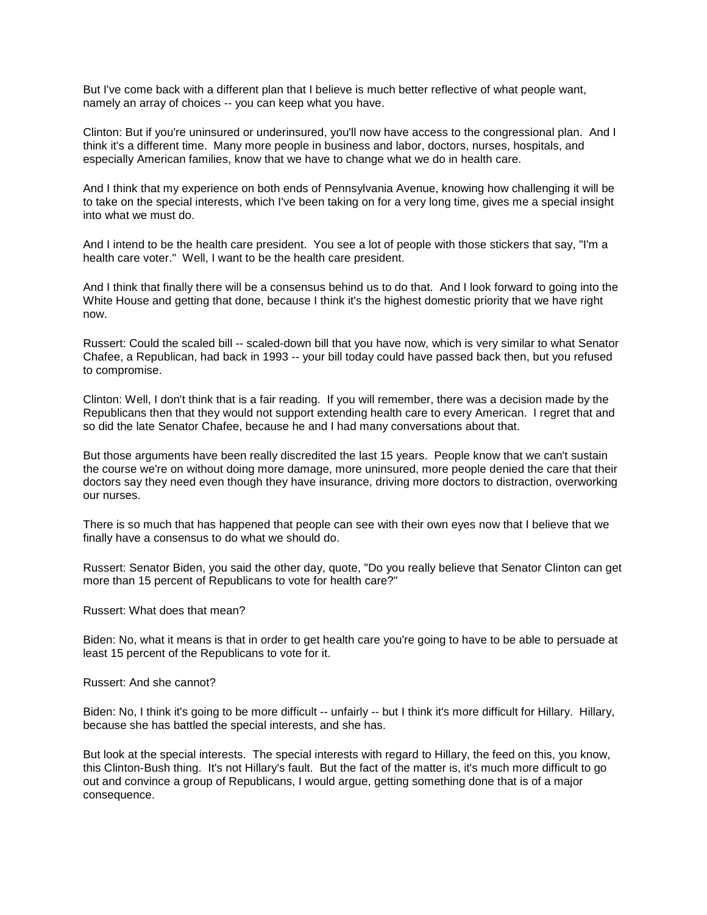But I've come back with a different plan that I believe is much better reflective of what people want, namely an array of choices -- you can keep what you have.

Clinton: But if you're uninsured or underinsured, you'll now have access to the congressional plan. And I think it's a different time. Many more people in business and labor, doctors, nurses, hospitals, and especially American families, know that we have to change what we do in health care.

And I think that my experience on both ends of Pennsylvania Avenue, knowing how challenging it will be to take on the special interests, which I've been taking on for a very long time, gives me a special insight into what we must do.

And I intend to be the health care president. You see a lot of people with those stickers that say, "I'm a health care voter." Well, I want to be the health care president.

And I think that finally there will be a consensus behind us to do that. And I look forward to going into the White House and getting that done, because I think it's the highest domestic priority that we have right now.

Russert: Could the scaled bill -- scaled-down bill that you have now, which is very similar to what Senator Chafee, a Republican, had back in 1993 -- your bill today could have passed back then, but you refused to compromise.

Clinton: Well, I don't think that is a fair reading. If you will remember, there was a decision made by the Republicans then that they would not support extending health care to every American. I regret that and so did the late Senator Chafee, because he and I had many conversations about that.

But those arguments have been really discredited the last 15 years. People know that we can't sustain the course we're on without doing more damage, more uninsured, more people denied the care that their doctors say they need even though they have insurance, driving more doctors to distraction, overworking our nurses.

There is so much that has happened that people can see with their own eyes now that I believe that we finally have a consensus to do what we should do.

Russert: Senator Biden, you said the other day, quote, "Do you really believe that Senator Clinton can get more than 15 percent of Republicans to vote for health care?"

Russert: What does that mean?

Biden: No, what it means is that in order to get health care you're going to have to be able to persuade at least 15 percent of the Republicans to vote for it.

Russert: And she cannot?

Biden: No, I think it's going to be more difficult -- unfairly -- but I think it's more difficult for Hillary. Hillary, because she has battled the special interests, and she has.

But look at the special interests. The special interests with regard to Hillary, the feed on this, you know, this Clinton-Bush thing. It's not Hillary's fault. But the fact of the matter is, it's much more difficult to go out and convince a group of Republicans, I would argue, getting something done that is of a major consequence.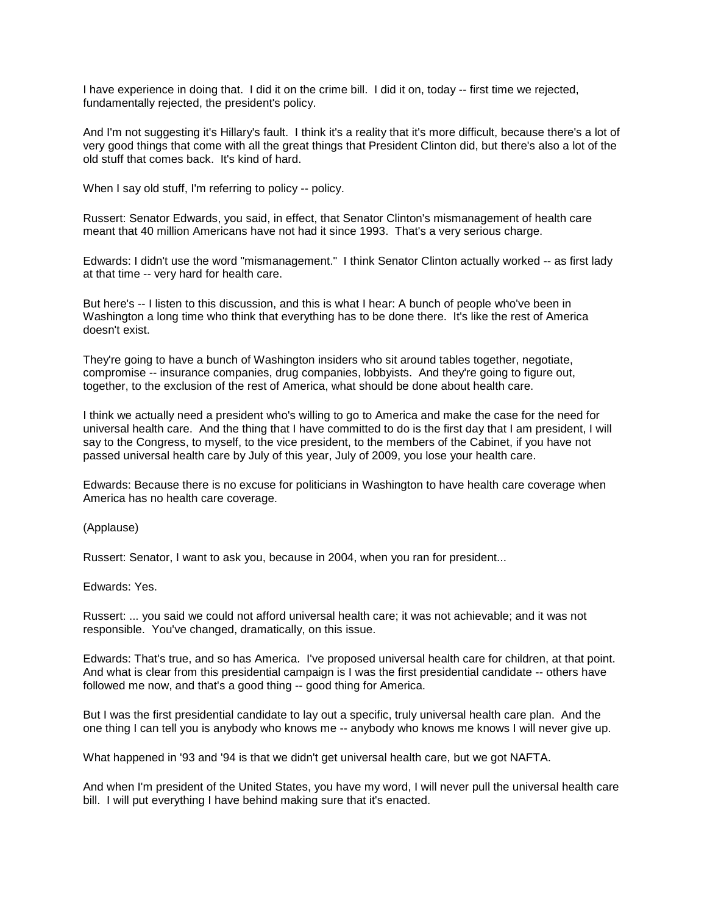I have experience in doing that. I did it on the crime bill. I did it on, today -- first time we rejected, fundamentally rejected, the president's policy.

And I'm not suggesting it's Hillary's fault. I think it's a reality that it's more difficult, because there's a lot of very good things that come with all the great things that President Clinton did, but there's also a lot of the old stuff that comes back. It's kind of hard.

When I say old stuff, I'm referring to policy -- policy.

Russert: Senator Edwards, you said, in effect, that Senator Clinton's mismanagement of health care meant that 40 million Americans have not had it since 1993. That's a very serious charge.

Edwards: I didn't use the word "mismanagement." I think Senator Clinton actually worked -- as first lady at that time -- very hard for health care.

But here's -- I listen to this discussion, and this is what I hear: A bunch of people who've been in Washington a long time who think that everything has to be done there. It's like the rest of America doesn't exist.

They're going to have a bunch of Washington insiders who sit around tables together, negotiate, compromise -- insurance companies, drug companies, lobbyists. And they're going to figure out, together, to the exclusion of the rest of America, what should be done about health care.

I think we actually need a president who's willing to go to America and make the case for the need for universal health care. And the thing that I have committed to do is the first day that I am president, I will say to the Congress, to myself, to the vice president, to the members of the Cabinet, if you have not passed universal health care by July of this year, July of 2009, you lose your health care.

Edwards: Because there is no excuse for politicians in Washington to have health care coverage when America has no health care coverage.

(Applause)

Russert: Senator, I want to ask you, because in 2004, when you ran for president...

Edwards: Yes.

Russert: ... you said we could not afford universal health care; it was not achievable; and it was not responsible. You've changed, dramatically, on this issue.

Edwards: That's true, and so has America. I've proposed universal health care for children, at that point. And what is clear from this presidential campaign is I was the first presidential candidate -- others have followed me now, and that's a good thing -- good thing for America.

But I was the first presidential candidate to lay out a specific, truly universal health care plan. And the one thing I can tell you is anybody who knows me -- anybody who knows me knows I will never give up.

What happened in '93 and '94 is that we didn't get universal health care, but we got NAFTA.

And when I'm president of the United States, you have my word, I will never pull the universal health care bill. I will put everything I have behind making sure that it's enacted.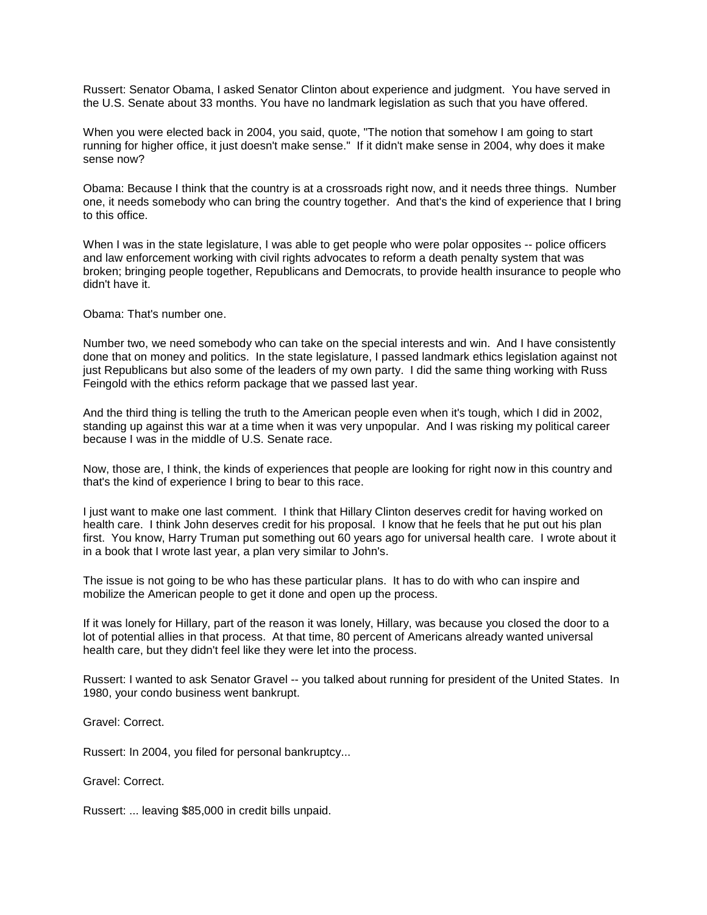Russert: Senator Obama, I asked Senator Clinton about experience and judgment. You have served in the U.S. Senate about 33 months. You have no landmark legislation as such that you have offered.

When you were elected back in 2004, you said, quote, "The notion that somehow I am going to start running for higher office, it just doesn't make sense." If it didn't make sense in 2004, why does it make sense now?

Obama: Because I think that the country is at a crossroads right now, and it needs three things. Number one, it needs somebody who can bring the country together. And that's the kind of experience that I bring to this office.

When I was in the state legislature. I was able to get people who were polar opposites -- police officers and law enforcement working with civil rights advocates to reform a death penalty system that was broken; bringing people together, Republicans and Democrats, to provide health insurance to people who didn't have it.

Obama: That's number one.

Number two, we need somebody who can take on the special interests and win. And I have consistently done that on money and politics. In the state legislature, I passed landmark ethics legislation against not just Republicans but also some of the leaders of my own party. I did the same thing working with Russ Feingold with the ethics reform package that we passed last year.

And the third thing is telling the truth to the American people even when it's tough, which I did in 2002, standing up against this war at a time when it was very unpopular. And I was risking my political career because I was in the middle of U.S. Senate race.

Now, those are, I think, the kinds of experiences that people are looking for right now in this country and that's the kind of experience I bring to bear to this race.

I just want to make one last comment. I think that Hillary Clinton deserves credit for having worked on health care. I think John deserves credit for his proposal. I know that he feels that he put out his plan first. You know, Harry Truman put something out 60 years ago for universal health care. I wrote about it in a book that I wrote last year, a plan very similar to John's.

The issue is not going to be who has these particular plans. It has to do with who can inspire and mobilize the American people to get it done and open up the process.

If it was lonely for Hillary, part of the reason it was lonely, Hillary, was because you closed the door to a lot of potential allies in that process. At that time, 80 percent of Americans already wanted universal health care, but they didn't feel like they were let into the process.

Russert: I wanted to ask Senator Gravel -- you talked about running for president of the United States. In 1980, your condo business went bankrupt.

Gravel: Correct.

Russert: In 2004, you filed for personal bankruptcy...

Gravel: Correct.

Russert: ... leaving \$85,000 in credit bills unpaid.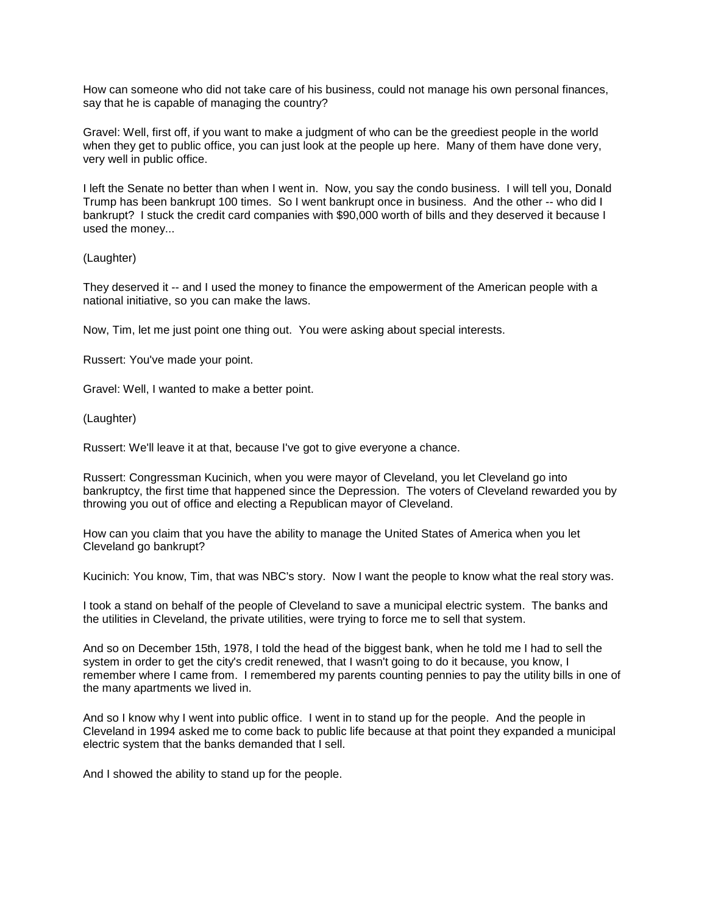How can someone who did not take care of his business, could not manage his own personal finances, say that he is capable of managing the country?

Gravel: Well, first off, if you want to make a judgment of who can be the greediest people in the world when they get to public office, you can just look at the people up here. Many of them have done very, very well in public office.

I left the Senate no better than when I went in. Now, you say the condo business. I will tell you, Donald Trump has been bankrupt 100 times. So I went bankrupt once in business. And the other -- who did I bankrupt? I stuck the credit card companies with \$90,000 worth of bills and they deserved it because I used the money...

## (Laughter)

They deserved it -- and I used the money to finance the empowerment of the American people with a national initiative, so you can make the laws.

Now, Tim, let me just point one thing out. You were asking about special interests.

Russert: You've made your point.

Gravel: Well, I wanted to make a better point.

(Laughter)

Russert: We'll leave it at that, because I've got to give everyone a chance.

Russert: Congressman Kucinich, when you were mayor of Cleveland, you let Cleveland go into bankruptcy, the first time that happened since the Depression. The voters of Cleveland rewarded you by throwing you out of office and electing a Republican mayor of Cleveland.

How can you claim that you have the ability to manage the United States of America when you let Cleveland go bankrupt?

Kucinich: You know, Tim, that was NBC's story. Now I want the people to know what the real story was.

I took a stand on behalf of the people of Cleveland to save a municipal electric system. The banks and the utilities in Cleveland, the private utilities, were trying to force me to sell that system.

And so on December 15th, 1978, I told the head of the biggest bank, when he told me I had to sell the system in order to get the city's credit renewed, that I wasn't going to do it because, you know, I remember where I came from. I remembered my parents counting pennies to pay the utility bills in one of the many apartments we lived in.

And so I know why I went into public office. I went in to stand up for the people. And the people in Cleveland in 1994 asked me to come back to public life because at that point they expanded a municipal electric system that the banks demanded that I sell.

And I showed the ability to stand up for the people.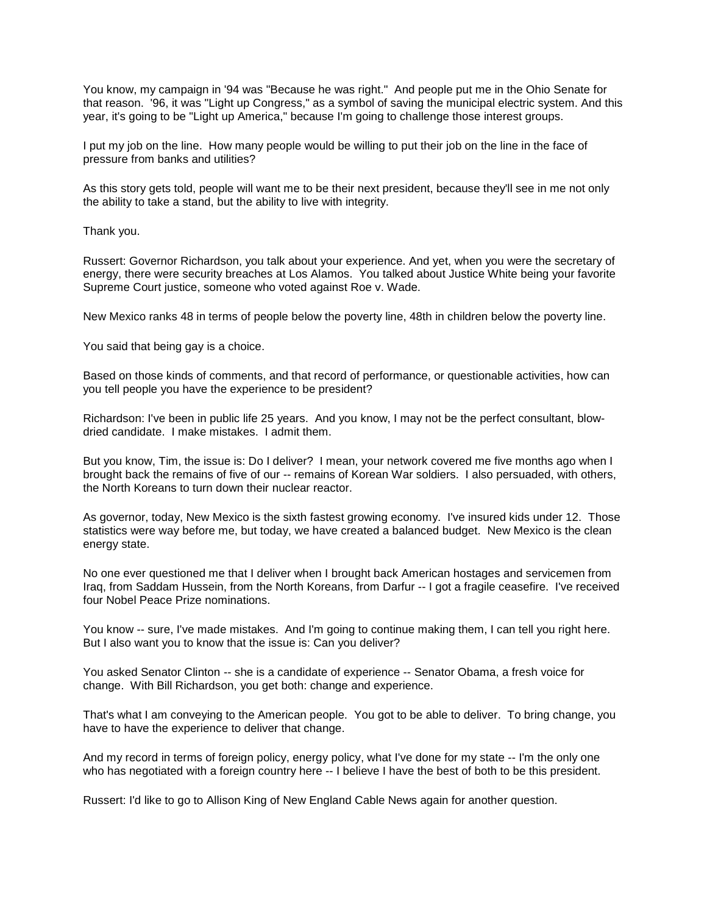You know, my campaign in '94 was "Because he was right." And people put me in the Ohio Senate for that reason. '96, it was "Light up Congress," as a symbol of saving the municipal electric system. And this year, it's going to be "Light up America," because I'm going to challenge those interest groups.

I put my job on the line. How many people would be willing to put their job on the line in the face of pressure from banks and utilities?

As this story gets told, people will want me to be their next president, because they'll see in me not only the ability to take a stand, but the ability to live with integrity.

Thank you.

Russert: Governor Richardson, you talk about your experience. And yet, when you were the secretary of energy, there were security breaches at Los Alamos. You talked about Justice White being your favorite Supreme Court justice, someone who voted against Roe v. Wade.

New Mexico ranks 48 in terms of people below the poverty line, 48th in children below the poverty line.

You said that being gay is a choice.

Based on those kinds of comments, and that record of performance, or questionable activities, how can you tell people you have the experience to be president?

Richardson: I've been in public life 25 years. And you know, I may not be the perfect consultant, blowdried candidate. I make mistakes. I admit them.

But you know, Tim, the issue is: Do I deliver? I mean, your network covered me five months ago when I brought back the remains of five of our -- remains of Korean War soldiers. I also persuaded, with others, the North Koreans to turn down their nuclear reactor.

As governor, today, New Mexico is the sixth fastest growing economy. I've insured kids under 12. Those statistics were way before me, but today, we have created a balanced budget. New Mexico is the clean energy state.

No one ever questioned me that I deliver when I brought back American hostages and servicemen from Iraq, from Saddam Hussein, from the North Koreans, from Darfur -- I got a fragile ceasefire. I've received four Nobel Peace Prize nominations.

You know -- sure, I've made mistakes. And I'm going to continue making them, I can tell you right here. But I also want you to know that the issue is: Can you deliver?

You asked Senator Clinton -- she is a candidate of experience -- Senator Obama, a fresh voice for change. With Bill Richardson, you get both: change and experience.

That's what I am conveying to the American people. You got to be able to deliver. To bring change, you have to have the experience to deliver that change.

And my record in terms of foreign policy, energy policy, what I've done for my state -- I'm the only one who has negotiated with a foreign country here  $-1$  believe I have the best of both to be this president.

Russert: I'd like to go to Allison King of New England Cable News again for another question.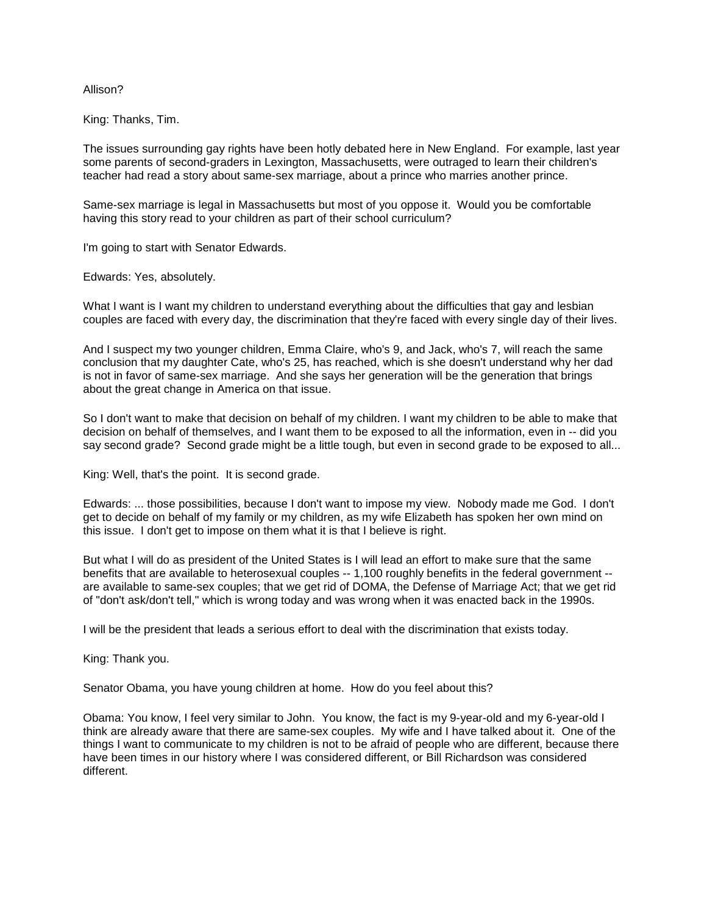## Allison?

King: Thanks, Tim.

The issues surrounding gay rights have been hotly debated here in New England. For example, last year some parents of second-graders in Lexington, Massachusetts, were outraged to learn their children's teacher had read a story about same-sex marriage, about a prince who marries another prince.

Same-sex marriage is legal in Massachusetts but most of you oppose it. Would you be comfortable having this story read to your children as part of their school curriculum?

I'm going to start with Senator Edwards.

Edwards: Yes, absolutely.

What I want is I want my children to understand everything about the difficulties that gay and lesbian couples are faced with every day, the discrimination that they're faced with every single day of their lives.

And I suspect my two younger children, Emma Claire, who's 9, and Jack, who's 7, will reach the same conclusion that my daughter Cate, who's 25, has reached, which is she doesn't understand why her dad is not in favor of same-sex marriage. And she says her generation will be the generation that brings about the great change in America on that issue.

So I don't want to make that decision on behalf of my children. I want my children to be able to make that decision on behalf of themselves, and I want them to be exposed to all the information, even in -- did you say second grade? Second grade might be a little tough, but even in second grade to be exposed to all...

King: Well, that's the point. It is second grade.

Edwards: ... those possibilities, because I don't want to impose my view. Nobody made me God. I don't get to decide on behalf of my family or my children, as my wife Elizabeth has spoken her own mind on this issue. I don't get to impose on them what it is that I believe is right.

But what I will do as president of the United States is I will lead an effort to make sure that the same benefits that are available to heterosexual couples -- 1,100 roughly benefits in the federal government - are available to same-sex couples; that we get rid of DOMA, the Defense of Marriage Act; that we get rid of "don't ask/don't tell," which is wrong today and was wrong when it was enacted back in the 1990s.

I will be the president that leads a serious effort to deal with the discrimination that exists today.

King: Thank you.

Senator Obama, you have young children at home. How do you feel about this?

Obama: You know, I feel very similar to John. You know, the fact is my 9-year-old and my 6-year-old I think are already aware that there are same-sex couples. My wife and I have talked about it. One of the things I want to communicate to my children is not to be afraid of people who are different, because there have been times in our history where I was considered different, or Bill Richardson was considered different.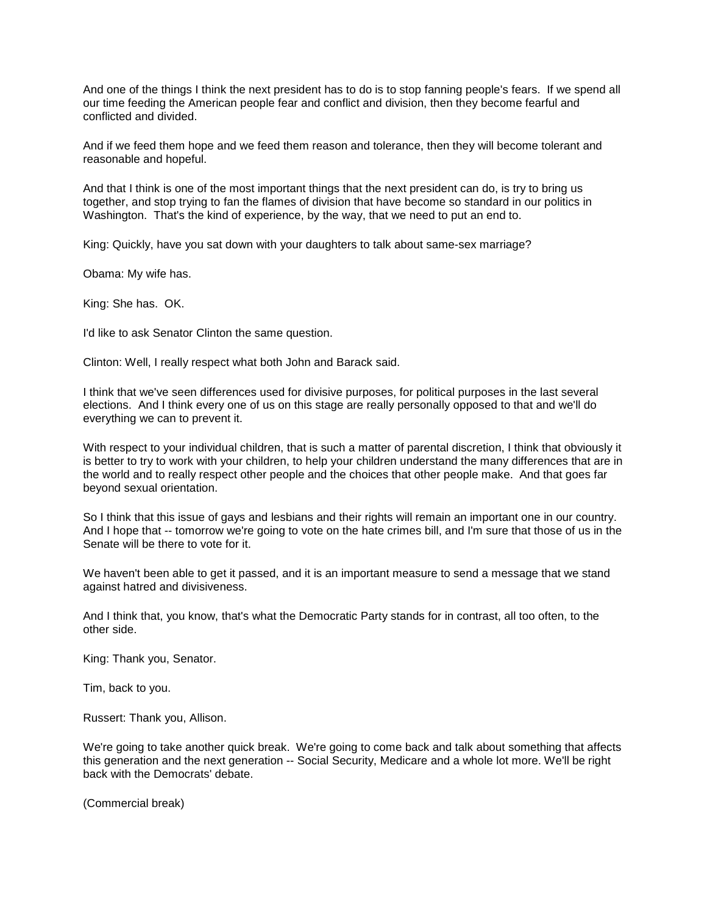And one of the things I think the next president has to do is to stop fanning people's fears. If we spend all our time feeding the American people fear and conflict and division, then they become fearful and conflicted and divided.

And if we feed them hope and we feed them reason and tolerance, then they will become tolerant and reasonable and hopeful.

And that I think is one of the most important things that the next president can do, is try to bring us together, and stop trying to fan the flames of division that have become so standard in our politics in Washington. That's the kind of experience, by the way, that we need to put an end to.

King: Quickly, have you sat down with your daughters to talk about same-sex marriage?

Obama: My wife has.

King: She has. OK.

I'd like to ask Senator Clinton the same question.

Clinton: Well, I really respect what both John and Barack said.

I think that we've seen differences used for divisive purposes, for political purposes in the last several elections. And I think every one of us on this stage are really personally opposed to that and we'll do everything we can to prevent it.

With respect to your individual children, that is such a matter of parental discretion, I think that obviously it is better to try to work with your children, to help your children understand the many differences that are in the world and to really respect other people and the choices that other people make. And that goes far beyond sexual orientation.

So I think that this issue of gays and lesbians and their rights will remain an important one in our country. And I hope that -- tomorrow we're going to vote on the hate crimes bill, and I'm sure that those of us in the Senate will be there to vote for it.

We haven't been able to get it passed, and it is an important measure to send a message that we stand against hatred and divisiveness.

And I think that, you know, that's what the Democratic Party stands for in contrast, all too often, to the other side.

King: Thank you, Senator.

Tim, back to you.

Russert: Thank you, Allison.

We're going to take another quick break. We're going to come back and talk about something that affects this generation and the next generation -- Social Security, Medicare and a whole lot more. We'll be right back with the Democrats' debate.

(Commercial break)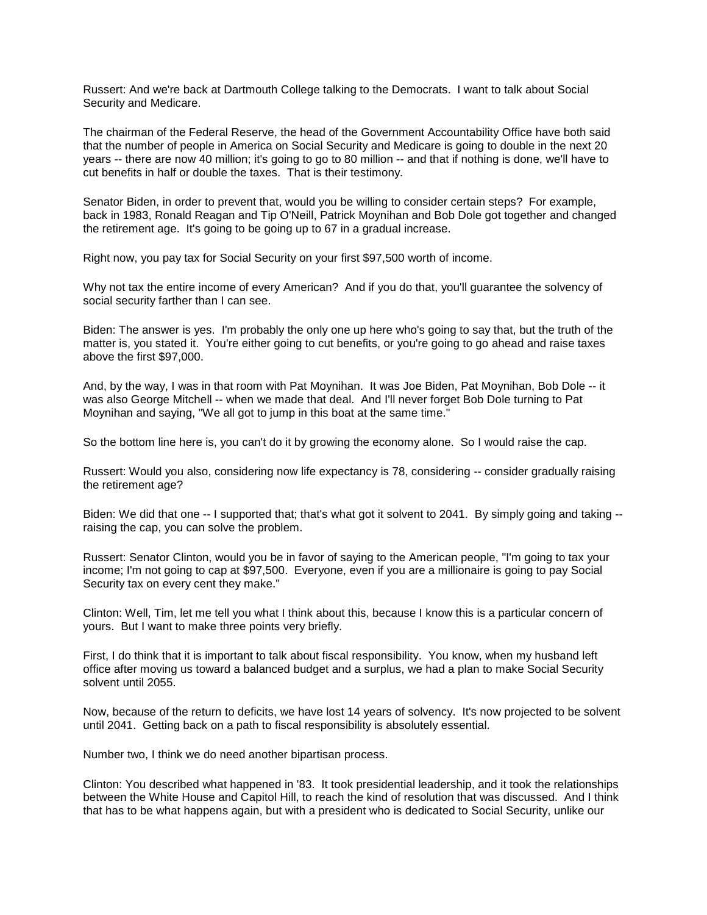Russert: And we're back at Dartmouth College talking to the Democrats. I want to talk about Social Security and Medicare.

The chairman of the Federal Reserve, the head of the Government Accountability Office have both said that the number of people in America on Social Security and Medicare is going to double in the next 20 years -- there are now 40 million; it's going to go to 80 million -- and that if nothing is done, we'll have to cut benefits in half or double the taxes. That is their testimony.

Senator Biden, in order to prevent that, would you be willing to consider certain steps? For example, back in 1983, Ronald Reagan and Tip O'Neill, Patrick Moynihan and Bob Dole got together and changed the retirement age. It's going to be going up to 67 in a gradual increase.

Right now, you pay tax for Social Security on your first \$97,500 worth of income.

Why not tax the entire income of every American? And if you do that, you'll guarantee the solvency of social security farther than I can see.

Biden: The answer is yes. I'm probably the only one up here who's going to say that, but the truth of the matter is, you stated it. You're either going to cut benefits, or you're going to go ahead and raise taxes above the first \$97,000.

And, by the way, I was in that room with Pat Moynihan. It was Joe Biden, Pat Moynihan, Bob Dole -- it was also George Mitchell -- when we made that deal. And I'll never forget Bob Dole turning to Pat Moynihan and saying, "We all got to jump in this boat at the same time."

So the bottom line here is, you can't do it by growing the economy alone. So I would raise the cap.

Russert: Would you also, considering now life expectancy is 78, considering -- consider gradually raising the retirement age?

Biden: We did that one -- I supported that; that's what got it solvent to 2041. By simply going and taking -raising the cap, you can solve the problem.

Russert: Senator Clinton, would you be in favor of saying to the American people, "I'm going to tax your income; I'm not going to cap at \$97,500. Everyone, even if you are a millionaire is going to pay Social Security tax on every cent they make."

Clinton: Well, Tim, let me tell you what I think about this, because I know this is a particular concern of yours. But I want to make three points very briefly.

First, I do think that it is important to talk about fiscal responsibility. You know, when my husband left office after moving us toward a balanced budget and a surplus, we had a plan to make Social Security solvent until 2055.

Now, because of the return to deficits, we have lost 14 years of solvency. It's now projected to be solvent until 2041. Getting back on a path to fiscal responsibility is absolutely essential.

Number two, I think we do need another bipartisan process.

Clinton: You described what happened in '83. It took presidential leadership, and it took the relationships between the White House and Capitol Hill, to reach the kind of resolution that was discussed. And I think that has to be what happens again, but with a president who is dedicated to Social Security, unlike our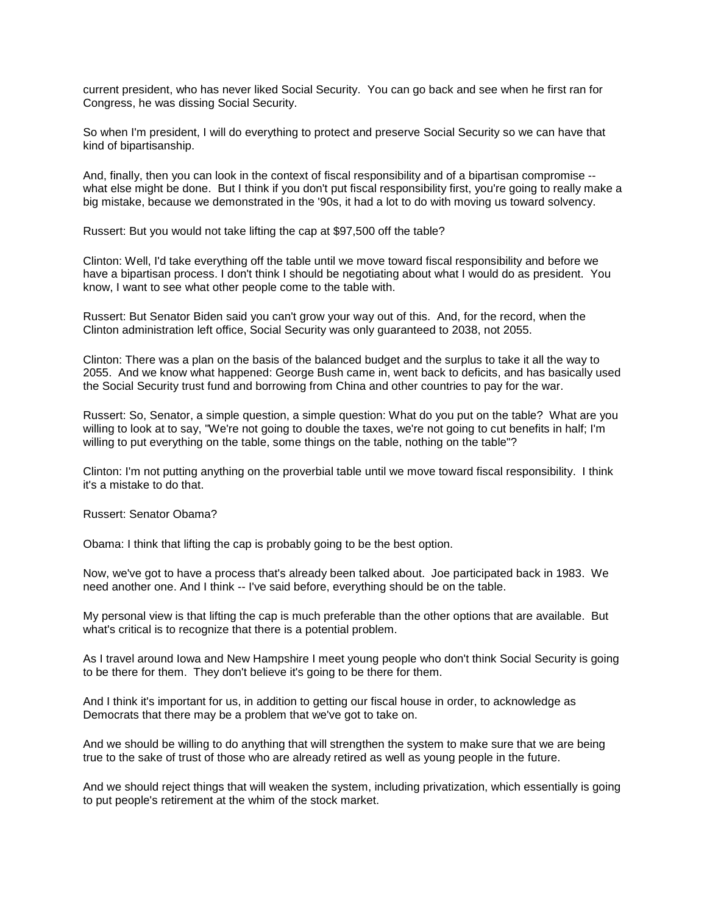current president, who has never liked Social Security. You can go back and see when he first ran for Congress, he was dissing Social Security.

So when I'm president, I will do everything to protect and preserve Social Security so we can have that kind of bipartisanship.

And, finally, then you can look in the context of fiscal responsibility and of a bipartisan compromise - what else might be done. But I think if you don't put fiscal responsibility first, you're going to really make a big mistake, because we demonstrated in the '90s, it had a lot to do with moving us toward solvency.

Russert: But you would not take lifting the cap at \$97,500 off the table?

Clinton: Well, I'd take everything off the table until we move toward fiscal responsibility and before we have a bipartisan process. I don't think I should be negotiating about what I would do as president. You know, I want to see what other people come to the table with.

Russert: But Senator Biden said you can't grow your way out of this. And, for the record, when the Clinton administration left office, Social Security was only guaranteed to 2038, not 2055.

Clinton: There was a plan on the basis of the balanced budget and the surplus to take it all the way to 2055. And we know what happened: George Bush came in, went back to deficits, and has basically used the Social Security trust fund and borrowing from China and other countries to pay for the war.

Russert: So, Senator, a simple question, a simple question: What do you put on the table? What are you willing to look at to say, "We're not going to double the taxes, we're not going to cut benefits in half; I'm willing to put everything on the table, some things on the table, nothing on the table"?

Clinton: I'm not putting anything on the proverbial table until we move toward fiscal responsibility. I think it's a mistake to do that.

Russert: Senator Obama?

Obama: I think that lifting the cap is probably going to be the best option.

Now, we've got to have a process that's already been talked about. Joe participated back in 1983. We need another one. And I think -- I've said before, everything should be on the table.

My personal view is that lifting the cap is much preferable than the other options that are available. But what's critical is to recognize that there is a potential problem.

As I travel around Iowa and New Hampshire I meet young people who don't think Social Security is going to be there for them. They don't believe it's going to be there for them.

And I think it's important for us, in addition to getting our fiscal house in order, to acknowledge as Democrats that there may be a problem that we've got to take on.

And we should be willing to do anything that will strengthen the system to make sure that we are being true to the sake of trust of those who are already retired as well as young people in the future.

And we should reject things that will weaken the system, including privatization, which essentially is going to put people's retirement at the whim of the stock market.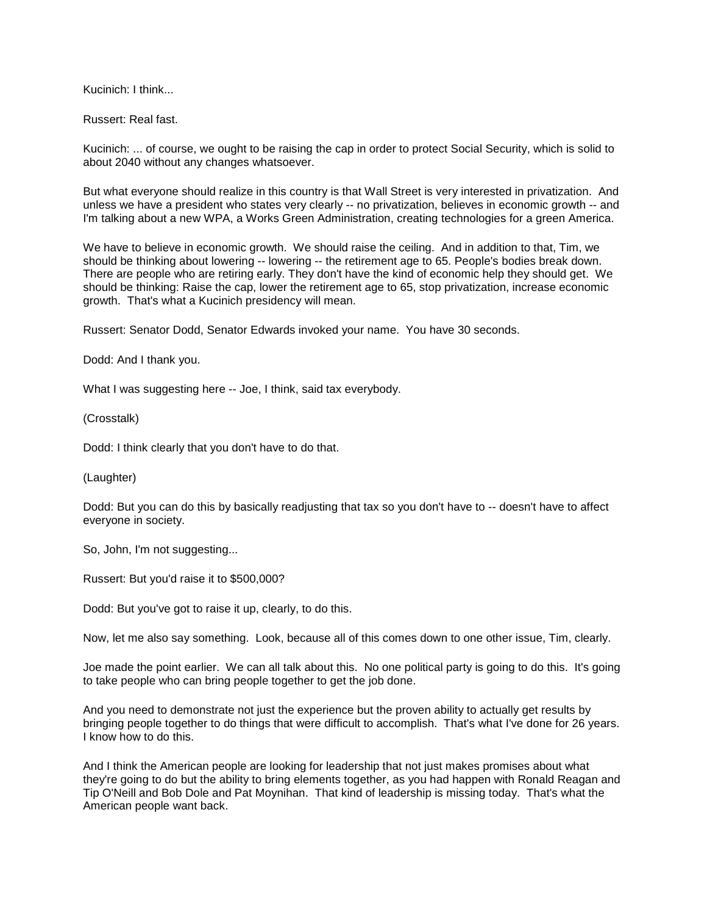Kucinich: I think...

Russert: Real fast.

Kucinich: ... of course, we ought to be raising the cap in order to protect Social Security, which is solid to about 2040 without any changes whatsoever.

But what everyone should realize in this country is that Wall Street is very interested in privatization. And unless we have a president who states very clearly -- no privatization, believes in economic growth -- and I'm talking about a new WPA, a Works Green Administration, creating technologies for a green America.

We have to believe in economic growth. We should raise the ceiling. And in addition to that, Tim, we should be thinking about lowering -- lowering -- the retirement age to 65. People's bodies break down. There are people who are retiring early. They don't have the kind of economic help they should get. We should be thinking: Raise the cap, lower the retirement age to 65, stop privatization, increase economic growth. That's what a Kucinich presidency will mean.

Russert: Senator Dodd, Senator Edwards invoked your name. You have 30 seconds.

Dodd: And I thank you.

What I was suggesting here -- Joe, I think, said tax everybody.

(Crosstalk)

Dodd: I think clearly that you don't have to do that.

(Laughter)

Dodd: But you can do this by basically readjusting that tax so you don't have to -- doesn't have to affect everyone in society.

So, John, I'm not suggesting...

Russert: But you'd raise it to \$500,000?

Dodd: But you've got to raise it up, clearly, to do this.

Now, let me also say something. Look, because all of this comes down to one other issue, Tim, clearly.

Joe made the point earlier. We can all talk about this. No one political party is going to do this. It's going to take people who can bring people together to get the job done.

And you need to demonstrate not just the experience but the proven ability to actually get results by bringing people together to do things that were difficult to accomplish. That's what I've done for 26 years. I know how to do this.

And I think the American people are looking for leadership that not just makes promises about what they're going to do but the ability to bring elements together, as you had happen with Ronald Reagan and Tip O'Neill and Bob Dole and Pat Moynihan. That kind of leadership is missing today. That's what the American people want back.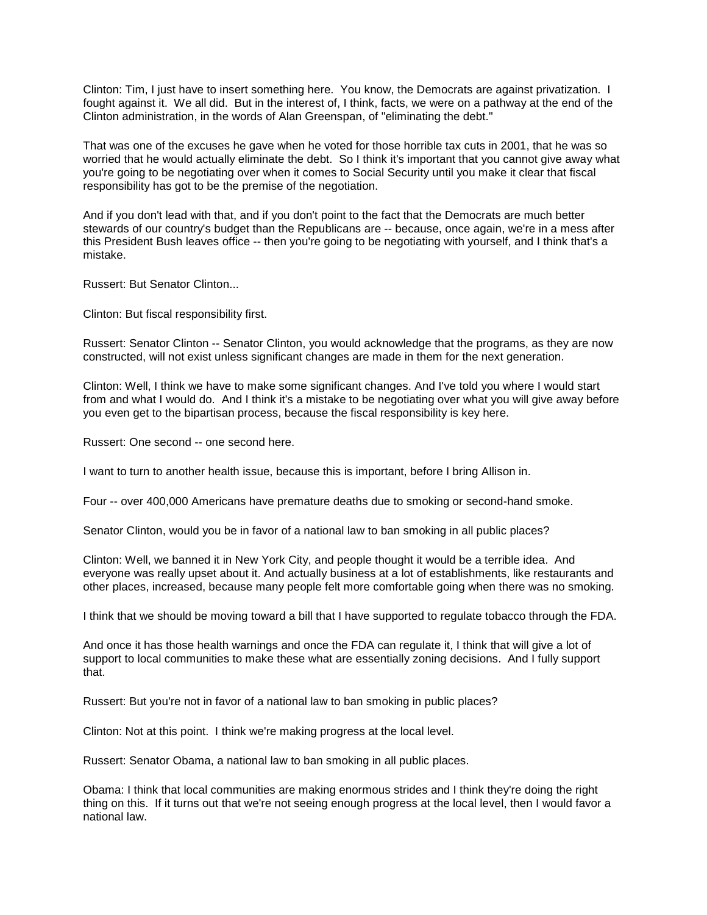Clinton: Tim, I just have to insert something here. You know, the Democrats are against privatization. I fought against it. We all did. But in the interest of, I think, facts, we were on a pathway at the end of the Clinton administration, in the words of Alan Greenspan, of "eliminating the debt."

That was one of the excuses he gave when he voted for those horrible tax cuts in 2001, that he was so worried that he would actually eliminate the debt. So I think it's important that you cannot give away what you're going to be negotiating over when it comes to Social Security until you make it clear that fiscal responsibility has got to be the premise of the negotiation.

And if you don't lead with that, and if you don't point to the fact that the Democrats are much better stewards of our country's budget than the Republicans are -- because, once again, we're in a mess after this President Bush leaves office -- then you're going to be negotiating with yourself, and I think that's a mistake.

Russert: But Senator Clinton...

Clinton: But fiscal responsibility first.

Russert: Senator Clinton -- Senator Clinton, you would acknowledge that the programs, as they are now constructed, will not exist unless significant changes are made in them for the next generation.

Clinton: Well, I think we have to make some significant changes. And I've told you where I would start from and what I would do. And I think it's a mistake to be negotiating over what you will give away before you even get to the bipartisan process, because the fiscal responsibility is key here.

Russert: One second -- one second here.

I want to turn to another health issue, because this is important, before I bring Allison in.

Four -- over 400,000 Americans have premature deaths due to smoking or second-hand smoke.

Senator Clinton, would you be in favor of a national law to ban smoking in all public places?

Clinton: Well, we banned it in New York City, and people thought it would be a terrible idea. And everyone was really upset about it. And actually business at a lot of establishments, like restaurants and other places, increased, because many people felt more comfortable going when there was no smoking.

I think that we should be moving toward a bill that I have supported to regulate tobacco through the FDA.

And once it has those health warnings and once the FDA can regulate it, I think that will give a lot of support to local communities to make these what are essentially zoning decisions. And I fully support that.

Russert: But you're not in favor of a national law to ban smoking in public places?

Clinton: Not at this point. I think we're making progress at the local level.

Russert: Senator Obama, a national law to ban smoking in all public places.

Obama: I think that local communities are making enormous strides and I think they're doing the right thing on this. If it turns out that we're not seeing enough progress at the local level, then I would favor a national law.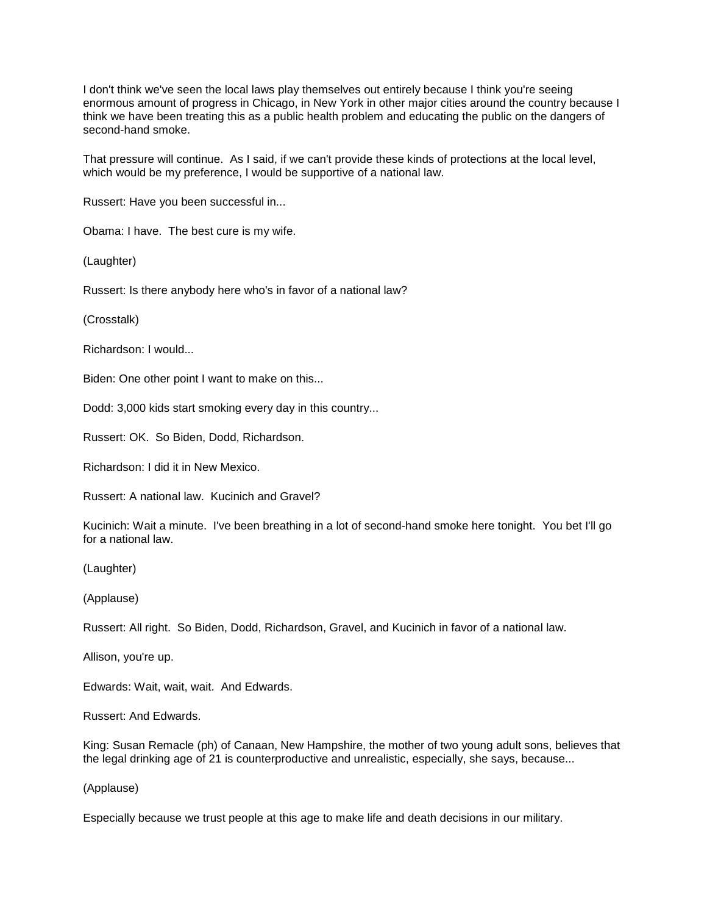I don't think we've seen the local laws play themselves out entirely because I think you're seeing enormous amount of progress in Chicago, in New York in other major cities around the country because I think we have been treating this as a public health problem and educating the public on the dangers of second-hand smoke.

That pressure will continue. As I said, if we can't provide these kinds of protections at the local level, which would be my preference, I would be supportive of a national law.

Russert: Have you been successful in...

Obama: I have. The best cure is my wife.

(Laughter)

Russert: Is there anybody here who's in favor of a national law?

(Crosstalk)

Richardson: I would...

Biden: One other point I want to make on this...

Dodd: 3,000 kids start smoking every day in this country...

Russert: OK. So Biden, Dodd, Richardson.

Richardson: I did it in New Mexico.

Russert: A national law. Kucinich and Gravel?

Kucinich: Wait a minute. I've been breathing in a lot of second-hand smoke here tonight. You bet I'll go for a national law.

(Laughter)

(Applause)

Russert: All right. So Biden, Dodd, Richardson, Gravel, and Kucinich in favor of a national law.

Allison, you're up.

Edwards: Wait, wait, wait. And Edwards.

Russert: And Edwards.

King: Susan Remacle (ph) of Canaan, New Hampshire, the mother of two young adult sons, believes that the legal drinking age of 21 is counterproductive and unrealistic, especially, she says, because...

(Applause)

Especially because we trust people at this age to make life and death decisions in our military.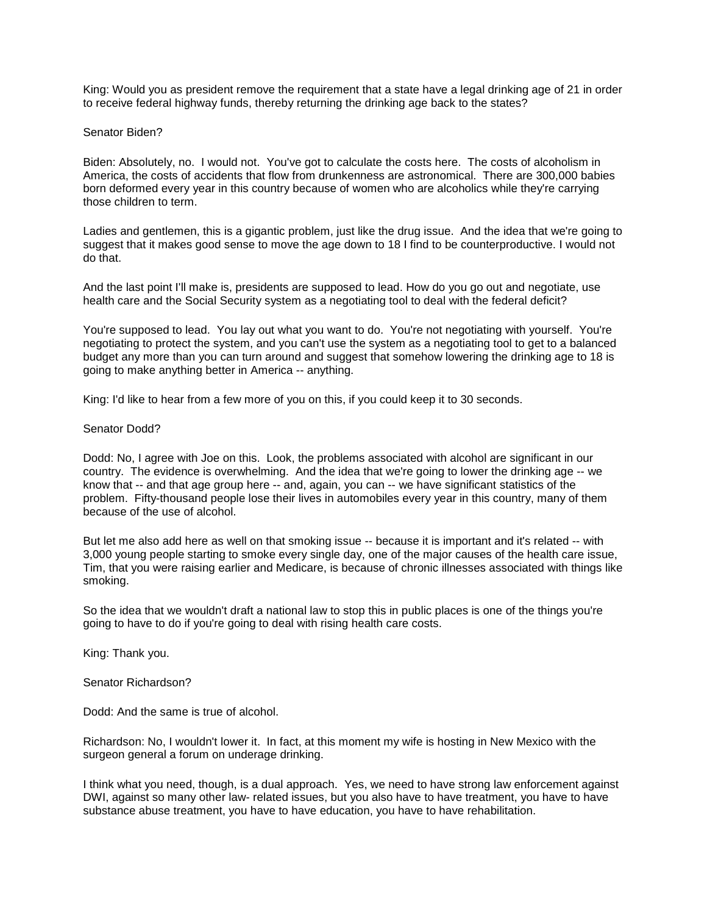King: Would you as president remove the requirement that a state have a legal drinking age of 21 in order to receive federal highway funds, thereby returning the drinking age back to the states?

### Senator Biden?

Biden: Absolutely, no. I would not. You've got to calculate the costs here. The costs of alcoholism in America, the costs of accidents that flow from drunkenness are astronomical. There are 300,000 babies born deformed every year in this country because of women who are alcoholics while they're carrying those children to term.

Ladies and gentlemen, this is a gigantic problem, just like the drug issue. And the idea that we're going to suggest that it makes good sense to move the age down to 18 I find to be counterproductive. I would not do that.

And the last point I'll make is, presidents are supposed to lead. How do you go out and negotiate, use health care and the Social Security system as a negotiating tool to deal with the federal deficit?

You're supposed to lead. You lay out what you want to do. You're not negotiating with yourself. You're negotiating to protect the system, and you can't use the system as a negotiating tool to get to a balanced budget any more than you can turn around and suggest that somehow lowering the drinking age to 18 is going to make anything better in America -- anything.

King: I'd like to hear from a few more of you on this, if you could keep it to 30 seconds.

#### Senator Dodd?

Dodd: No, I agree with Joe on this. Look, the problems associated with alcohol are significant in our country. The evidence is overwhelming. And the idea that we're going to lower the drinking age -- we know that -- and that age group here -- and, again, you can -- we have significant statistics of the problem. Fifty-thousand people lose their lives in automobiles every year in this country, many of them because of the use of alcohol.

But let me also add here as well on that smoking issue -- because it is important and it's related -- with 3,000 young people starting to smoke every single day, one of the major causes of the health care issue, Tim, that you were raising earlier and Medicare, is because of chronic illnesses associated with things like smoking.

So the idea that we wouldn't draft a national law to stop this in public places is one of the things you're going to have to do if you're going to deal with rising health care costs.

King: Thank you.

Senator Richardson?

Dodd: And the same is true of alcohol.

Richardson: No, I wouldn't lower it. In fact, at this moment my wife is hosting in New Mexico with the surgeon general a forum on underage drinking.

I think what you need, though, is a dual approach. Yes, we need to have strong law enforcement against DWI, against so many other law- related issues, but you also have to have treatment, you have to have substance abuse treatment, you have to have education, you have to have rehabilitation.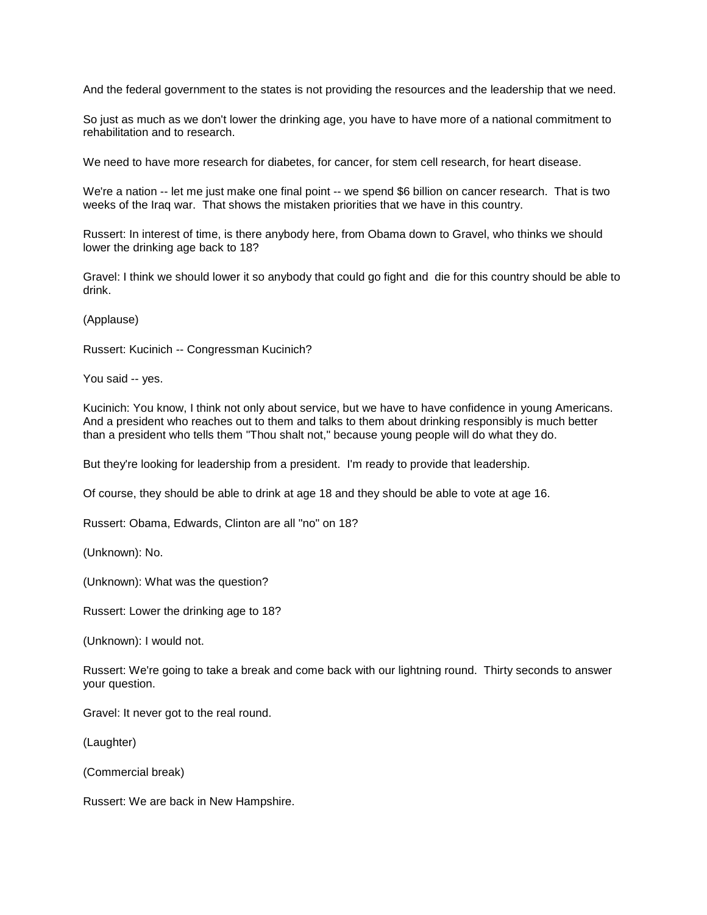And the federal government to the states is not providing the resources and the leadership that we need.

So just as much as we don't lower the drinking age, you have to have more of a national commitment to rehabilitation and to research.

We need to have more research for diabetes, for cancer, for stem cell research, for heart disease.

We're a nation -- let me just make one final point -- we spend \$6 billion on cancer research. That is two weeks of the Iraq war. That shows the mistaken priorities that we have in this country.

Russert: In interest of time, is there anybody here, from Obama down to Gravel, who thinks we should lower the drinking age back to 18?

Gravel: I think we should lower it so anybody that could go fight and die for this country should be able to drink.

(Applause)

Russert: Kucinich -- Congressman Kucinich?

You said -- yes.

Kucinich: You know, I think not only about service, but we have to have confidence in young Americans. And a president who reaches out to them and talks to them about drinking responsibly is much better than a president who tells them "Thou shalt not," because young people will do what they do.

But they're looking for leadership from a president. I'm ready to provide that leadership.

Of course, they should be able to drink at age 18 and they should be able to vote at age 16.

Russert: Obama, Edwards, Clinton are all "no" on 18?

(Unknown): No.

(Unknown): What was the question?

Russert: Lower the drinking age to 18?

(Unknown): I would not.

Russert: We're going to take a break and come back with our lightning round. Thirty seconds to answer your question.

Gravel: It never got to the real round.

(Laughter)

(Commercial break)

Russert: We are back in New Hampshire.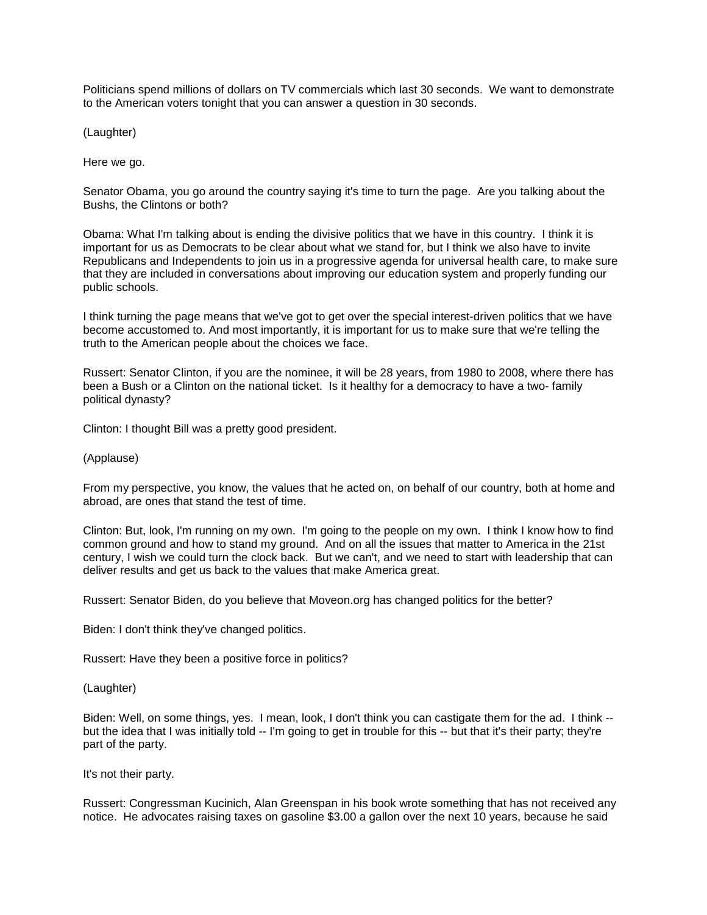Politicians spend millions of dollars on TV commercials which last 30 seconds. We want to demonstrate to the American voters tonight that you can answer a question in 30 seconds.

(Laughter)

Here we go.

Senator Obama, you go around the country saying it's time to turn the page. Are you talking about the Bushs, the Clintons or both?

Obama: What I'm talking about is ending the divisive politics that we have in this country. I think it is important for us as Democrats to be clear about what we stand for, but I think we also have to invite Republicans and Independents to join us in a progressive agenda for universal health care, to make sure that they are included in conversations about improving our education system and properly funding our public schools.

I think turning the page means that we've got to get over the special interest-driven politics that we have become accustomed to. And most importantly, it is important for us to make sure that we're telling the truth to the American people about the choices we face.

Russert: Senator Clinton, if you are the nominee, it will be 28 years, from 1980 to 2008, where there has been a Bush or a Clinton on the national ticket. Is it healthy for a democracy to have a two- family political dynasty?

Clinton: I thought Bill was a pretty good president.

(Applause)

From my perspective, you know, the values that he acted on, on behalf of our country, both at home and abroad, are ones that stand the test of time.

Clinton: But, look, I'm running on my own. I'm going to the people on my own. I think I know how to find common ground and how to stand my ground. And on all the issues that matter to America in the 21st century, I wish we could turn the clock back. But we can't, and we need to start with leadership that can deliver results and get us back to the values that make America great.

Russert: Senator Biden, do you believe that Moveon.org has changed politics for the better?

Biden: I don't think they've changed politics.

Russert: Have they been a positive force in politics?

(Laughter)

Biden: Well, on some things, yes. I mean, look, I don't think you can castigate them for the ad. I think -but the idea that I was initially told -- I'm going to get in trouble for this -- but that it's their party; they're part of the party.

It's not their party.

Russert: Congressman Kucinich, Alan Greenspan in his book wrote something that has not received any notice. He advocates raising taxes on gasoline \$3.00 a gallon over the next 10 years, because he said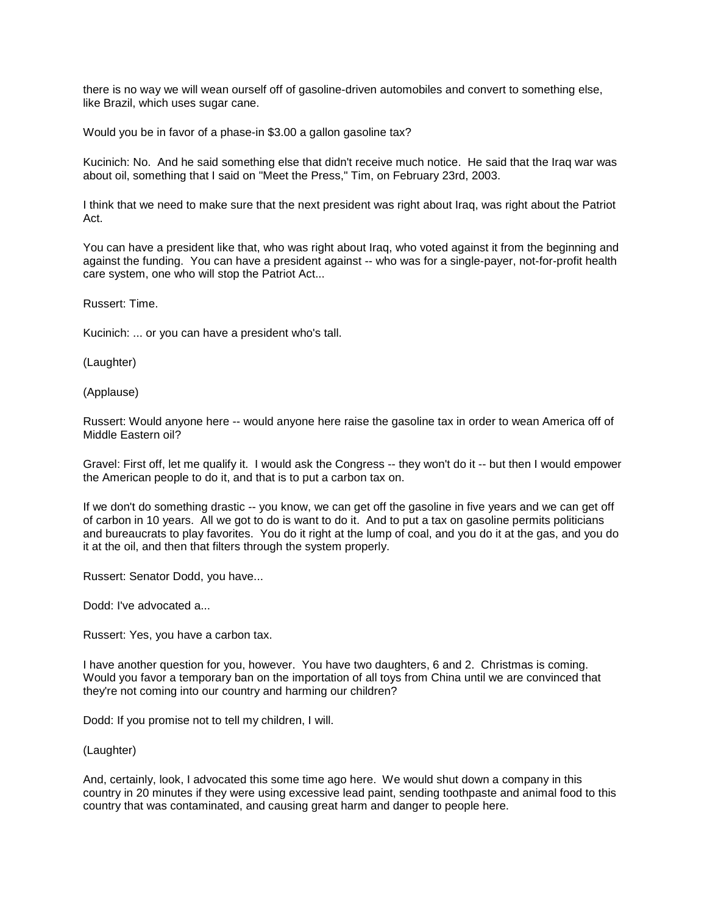there is no way we will wean ourself off of gasoline-driven automobiles and convert to something else, like Brazil, which uses sugar cane.

Would you be in favor of a phase-in \$3.00 a gallon gasoline tax?

Kucinich: No. And he said something else that didn't receive much notice. He said that the Iraq war was about oil, something that I said on "Meet the Press," Tim, on February 23rd, 2003.

I think that we need to make sure that the next president was right about Iraq, was right about the Patriot Act.

You can have a president like that, who was right about Iraq, who voted against it from the beginning and against the funding. You can have a president against -- who was for a single-payer, not-for-profit health care system, one who will stop the Patriot Act...

Russert: Time.

Kucinich: ... or you can have a president who's tall.

(Laughter)

(Applause)

Russert: Would anyone here -- would anyone here raise the gasoline tax in order to wean America off of Middle Eastern oil?

Gravel: First off, let me qualify it. I would ask the Congress -- they won't do it -- but then I would empower the American people to do it, and that is to put a carbon tax on.

If we don't do something drastic -- you know, we can get off the gasoline in five years and we can get off of carbon in 10 years. All we got to do is want to do it. And to put a tax on gasoline permits politicians and bureaucrats to play favorites. You do it right at the lump of coal, and you do it at the gas, and you do it at the oil, and then that filters through the system properly.

Russert: Senator Dodd, you have...

Dodd: I've advocated a...

Russert: Yes, you have a carbon tax.

I have another question for you, however. You have two daughters, 6 and 2. Christmas is coming. Would you favor a temporary ban on the importation of all toys from China until we are convinced that they're not coming into our country and harming our children?

Dodd: If you promise not to tell my children, I will.

(Laughter)

And, certainly, look, I advocated this some time ago here. We would shut down a company in this country in 20 minutes if they were using excessive lead paint, sending toothpaste and animal food to this country that was contaminated, and causing great harm and danger to people here.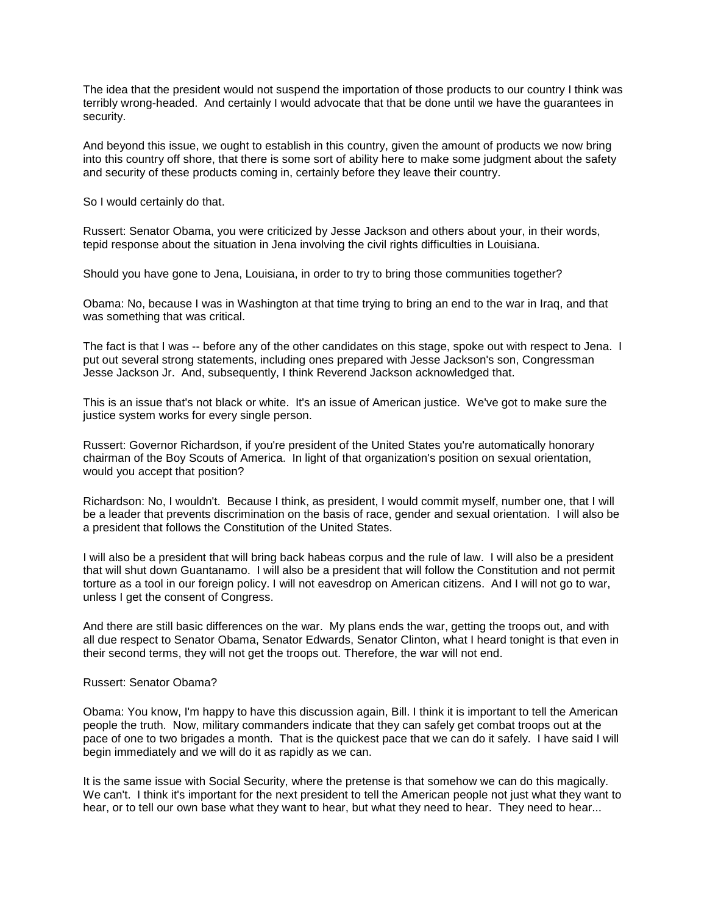The idea that the president would not suspend the importation of those products to our country I think was terribly wrong-headed. And certainly I would advocate that that be done until we have the guarantees in security.

And beyond this issue, we ought to establish in this country, given the amount of products we now bring into this country off shore, that there is some sort of ability here to make some judgment about the safety and security of these products coming in, certainly before they leave their country.

So I would certainly do that.

Russert: Senator Obama, you were criticized by Jesse Jackson and others about your, in their words, tepid response about the situation in Jena involving the civil rights difficulties in Louisiana.

Should you have gone to Jena, Louisiana, in order to try to bring those communities together?

Obama: No, because I was in Washington at that time trying to bring an end to the war in Iraq, and that was something that was critical.

The fact is that I was -- before any of the other candidates on this stage, spoke out with respect to Jena. I put out several strong statements, including ones prepared with Jesse Jackson's son, Congressman Jesse Jackson Jr. And, subsequently, I think Reverend Jackson acknowledged that.

This is an issue that's not black or white. It's an issue of American justice. We've got to make sure the justice system works for every single person.

Russert: Governor Richardson, if you're president of the United States you're automatically honorary chairman of the Boy Scouts of America. In light of that organization's position on sexual orientation, would you accept that position?

Richardson: No, I wouldn't. Because I think, as president, I would commit myself, number one, that I will be a leader that prevents discrimination on the basis of race, gender and sexual orientation. I will also be a president that follows the Constitution of the United States.

I will also be a president that will bring back habeas corpus and the rule of law. I will also be a president that will shut down Guantanamo. I will also be a president that will follow the Constitution and not permit torture as a tool in our foreign policy. I will not eavesdrop on American citizens. And I will not go to war, unless I get the consent of Congress.

And there are still basic differences on the war. My plans ends the war, getting the troops out, and with all due respect to Senator Obama, Senator Edwards, Senator Clinton, what I heard tonight is that even in their second terms, they will not get the troops out. Therefore, the war will not end.

Russert: Senator Obama?

Obama: You know, I'm happy to have this discussion again, Bill. I think it is important to tell the American people the truth. Now, military commanders indicate that they can safely get combat troops out at the pace of one to two brigades a month. That is the quickest pace that we can do it safely. I have said I will begin immediately and we will do it as rapidly as we can.

It is the same issue with Social Security, where the pretense is that somehow we can do this magically. We can't. I think it's important for the next president to tell the American people not just what they want to hear, or to tell our own base what they want to hear, but what they need to hear. They need to hear...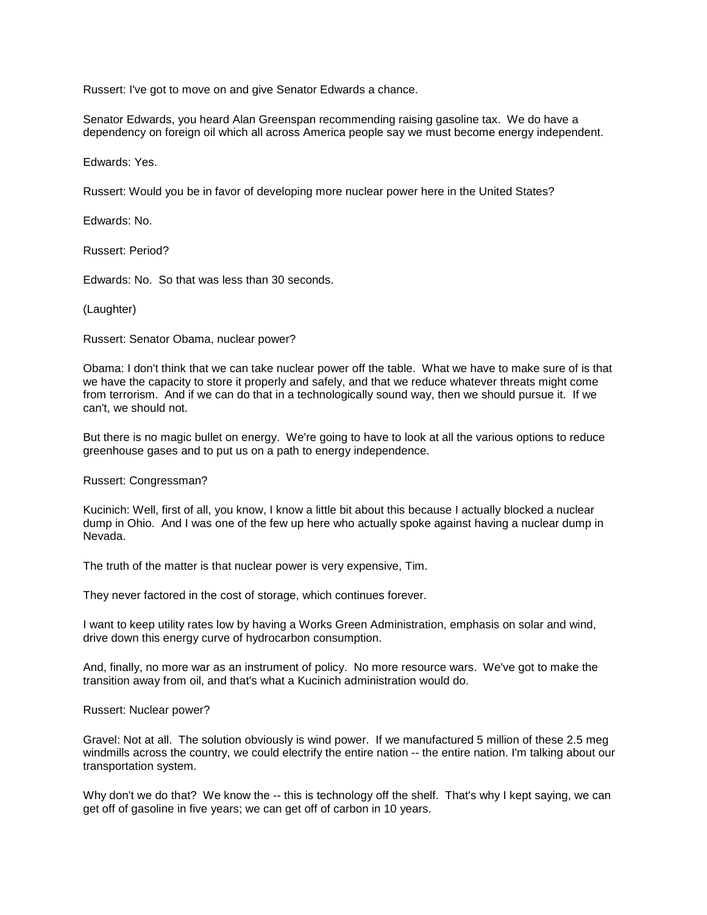Russert: I've got to move on and give Senator Edwards a chance.

Senator Edwards, you heard Alan Greenspan recommending raising gasoline tax. We do have a dependency on foreign oil which all across America people say we must become energy independent.

Edwards: Yes.

Russert: Would you be in favor of developing more nuclear power here in the United States?

Edwards: No.

Russert: Period?

Edwards: No. So that was less than 30 seconds.

(Laughter)

Russert: Senator Obama, nuclear power?

Obama: I don't think that we can take nuclear power off the table. What we have to make sure of is that we have the capacity to store it properly and safely, and that we reduce whatever threats might come from terrorism. And if we can do that in a technologically sound way, then we should pursue it. If we can't, we should not.

But there is no magic bullet on energy. We're going to have to look at all the various options to reduce greenhouse gases and to put us on a path to energy independence.

Russert: Congressman?

Kucinich: Well, first of all, you know, I know a little bit about this because I actually blocked a nuclear dump in Ohio. And I was one of the few up here who actually spoke against having a nuclear dump in Nevada.

The truth of the matter is that nuclear power is very expensive, Tim.

They never factored in the cost of storage, which continues forever.

I want to keep utility rates low by having a Works Green Administration, emphasis on solar and wind, drive down this energy curve of hydrocarbon consumption.

And, finally, no more war as an instrument of policy. No more resource wars. We've got to make the transition away from oil, and that's what a Kucinich administration would do.

#### Russert: Nuclear power?

Gravel: Not at all. The solution obviously is wind power. If we manufactured 5 million of these 2.5 meg windmills across the country, we could electrify the entire nation -- the entire nation. I'm talking about our transportation system.

Why don't we do that? We know the -- this is technology off the shelf. That's why I kept saying, we can get off of gasoline in five years; we can get off of carbon in 10 years.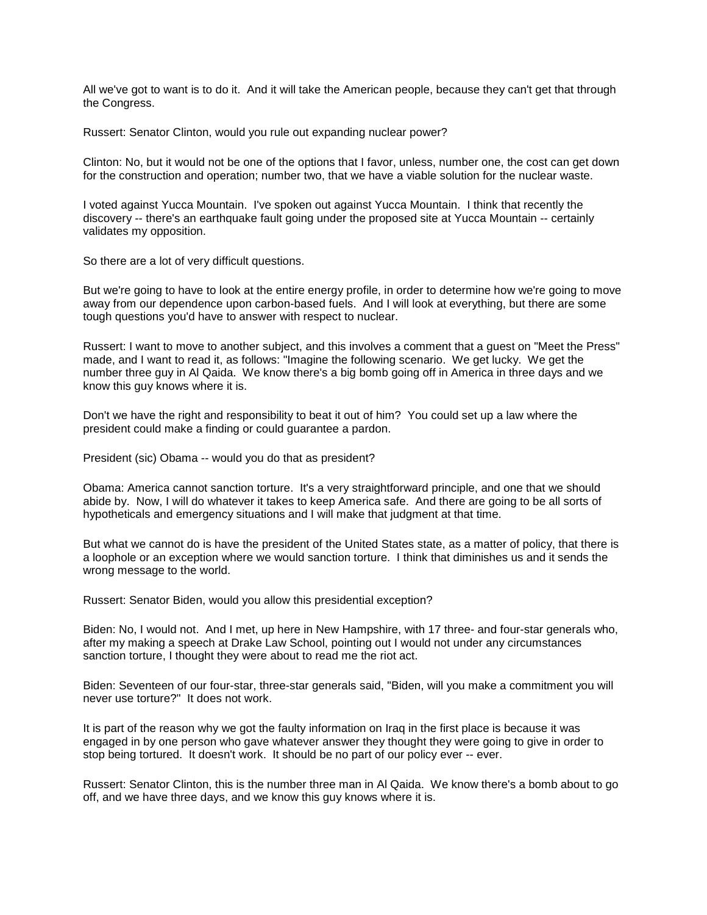All we've got to want is to do it. And it will take the American people, because they can't get that through the Congress.

Russert: Senator Clinton, would you rule out expanding nuclear power?

Clinton: No, but it would not be one of the options that I favor, unless, number one, the cost can get down for the construction and operation; number two, that we have a viable solution for the nuclear waste.

I voted against Yucca Mountain. I've spoken out against Yucca Mountain. I think that recently the discovery -- there's an earthquake fault going under the proposed site at Yucca Mountain -- certainly validates my opposition.

So there are a lot of very difficult questions.

But we're going to have to look at the entire energy profile, in order to determine how we're going to move away from our dependence upon carbon-based fuels. And I will look at everything, but there are some tough questions you'd have to answer with respect to nuclear.

Russert: I want to move to another subject, and this involves a comment that a guest on "Meet the Press" made, and I want to read it, as follows: "Imagine the following scenario. We get lucky. We get the number three guy in Al Qaida. We know there's a big bomb going off in America in three days and we know this guy knows where it is.

Don't we have the right and responsibility to beat it out of him? You could set up a law where the president could make a finding or could guarantee a pardon.

President (sic) Obama -- would you do that as president?

Obama: America cannot sanction torture. It's a very straightforward principle, and one that we should abide by. Now, I will do whatever it takes to keep America safe. And there are going to be all sorts of hypotheticals and emergency situations and I will make that judgment at that time.

But what we cannot do is have the president of the United States state, as a matter of policy, that there is a loophole or an exception where we would sanction torture. I think that diminishes us and it sends the wrong message to the world.

Russert: Senator Biden, would you allow this presidential exception?

Biden: No, I would not. And I met, up here in New Hampshire, with 17 three- and four-star generals who, after my making a speech at Drake Law School, pointing out I would not under any circumstances sanction torture, I thought they were about to read me the riot act.

Biden: Seventeen of our four-star, three-star generals said, "Biden, will you make a commitment you will never use torture?" It does not work.

It is part of the reason why we got the faulty information on Iraq in the first place is because it was engaged in by one person who gave whatever answer they thought they were going to give in order to stop being tortured. It doesn't work. It should be no part of our policy ever -- ever.

Russert: Senator Clinton, this is the number three man in Al Qaida. We know there's a bomb about to go off, and we have three days, and we know this guy knows where it is.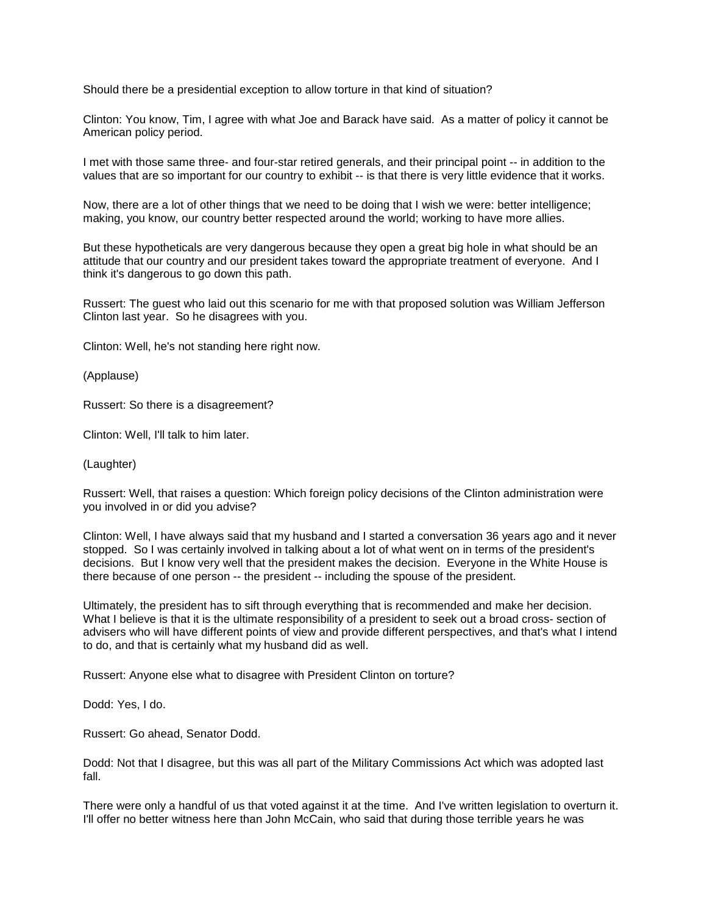Should there be a presidential exception to allow torture in that kind of situation?

Clinton: You know, Tim, I agree with what Joe and Barack have said. As a matter of policy it cannot be American policy period.

I met with those same three- and four-star retired generals, and their principal point -- in addition to the values that are so important for our country to exhibit -- is that there is very little evidence that it works.

Now, there are a lot of other things that we need to be doing that I wish we were: better intelligence; making, you know, our country better respected around the world; working to have more allies.

But these hypotheticals are very dangerous because they open a great big hole in what should be an attitude that our country and our president takes toward the appropriate treatment of everyone. And I think it's dangerous to go down this path.

Russert: The guest who laid out this scenario for me with that proposed solution was William Jefferson Clinton last year. So he disagrees with you.

Clinton: Well, he's not standing here right now.

(Applause)

Russert: So there is a disagreement?

Clinton: Well, I'll talk to him later.

(Laughter)

Russert: Well, that raises a question: Which foreign policy decisions of the Clinton administration were you involved in or did you advise?

Clinton: Well, I have always said that my husband and I started a conversation 36 years ago and it never stopped. So I was certainly involved in talking about a lot of what went on in terms of the president's decisions. But I know very well that the president makes the decision. Everyone in the White House is there because of one person -- the president -- including the spouse of the president.

Ultimately, the president has to sift through everything that is recommended and make her decision. What I believe is that it is the ultimate responsibility of a president to seek out a broad cross- section of advisers who will have different points of view and provide different perspectives, and that's what I intend to do, and that is certainly what my husband did as well.

Russert: Anyone else what to disagree with President Clinton on torture?

Dodd: Yes, I do.

Russert: Go ahead, Senator Dodd.

Dodd: Not that I disagree, but this was all part of the Military Commissions Act which was adopted last fall.

There were only a handful of us that voted against it at the time. And I've written legislation to overturn it. I'll offer no better witness here than John McCain, who said that during those terrible years he was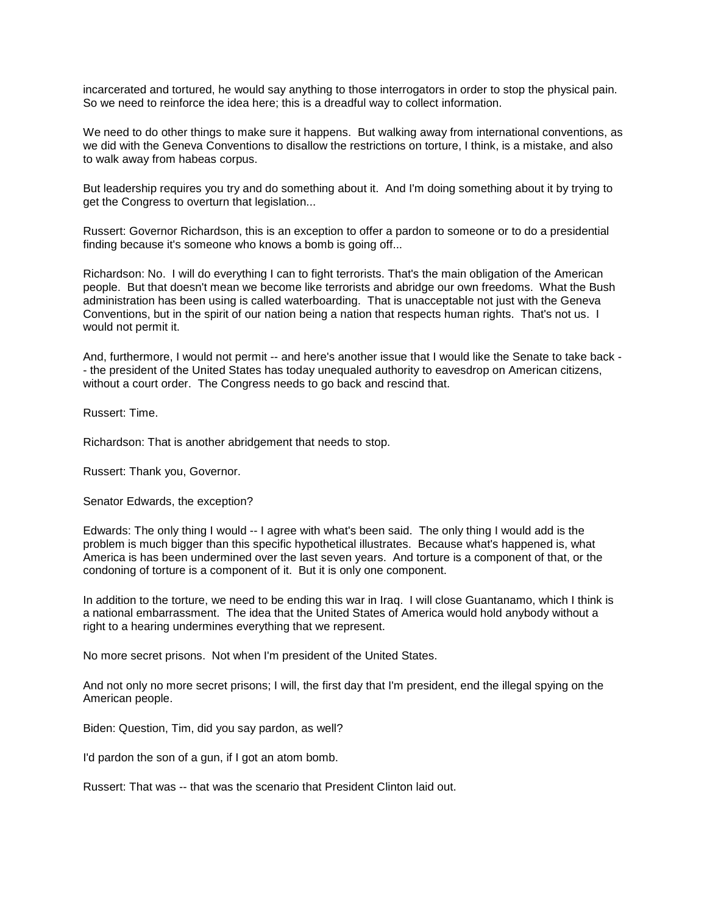incarcerated and tortured, he would say anything to those interrogators in order to stop the physical pain. So we need to reinforce the idea here; this is a dreadful way to collect information.

We need to do other things to make sure it happens. But walking away from international conventions, as we did with the Geneva Conventions to disallow the restrictions on torture, I think, is a mistake, and also to walk away from habeas corpus.

But leadership requires you try and do something about it. And I'm doing something about it by trying to get the Congress to overturn that legislation...

Russert: Governor Richardson, this is an exception to offer a pardon to someone or to do a presidential finding because it's someone who knows a bomb is going off...

Richardson: No. I will do everything I can to fight terrorists. That's the main obligation of the American people. But that doesn't mean we become like terrorists and abridge our own freedoms. What the Bush administration has been using is called waterboarding. That is unacceptable not just with the Geneva Conventions, but in the spirit of our nation being a nation that respects human rights. That's not us. I would not permit it.

And, furthermore, I would not permit -- and here's another issue that I would like the Senate to take back - - the president of the United States has today unequaled authority to eavesdrop on American citizens, without a court order. The Congress needs to go back and rescind that.

Russert: Time.

Richardson: That is another abridgement that needs to stop.

Russert: Thank you, Governor.

Senator Edwards, the exception?

Edwards: The only thing I would -- I agree with what's been said. The only thing I would add is the problem is much bigger than this specific hypothetical illustrates. Because what's happened is, what America is has been undermined over the last seven years. And torture is a component of that, or the condoning of torture is a component of it. But it is only one component.

In addition to the torture, we need to be ending this war in Iraq. I will close Guantanamo, which I think is a national embarrassment. The idea that the United States of America would hold anybody without a right to a hearing undermines everything that we represent.

No more secret prisons. Not when I'm president of the United States.

And not only no more secret prisons; I will, the first day that I'm president, end the illegal spying on the American people.

Biden: Question, Tim, did you say pardon, as well?

I'd pardon the son of a gun, if I got an atom bomb.

Russert: That was -- that was the scenario that President Clinton laid out.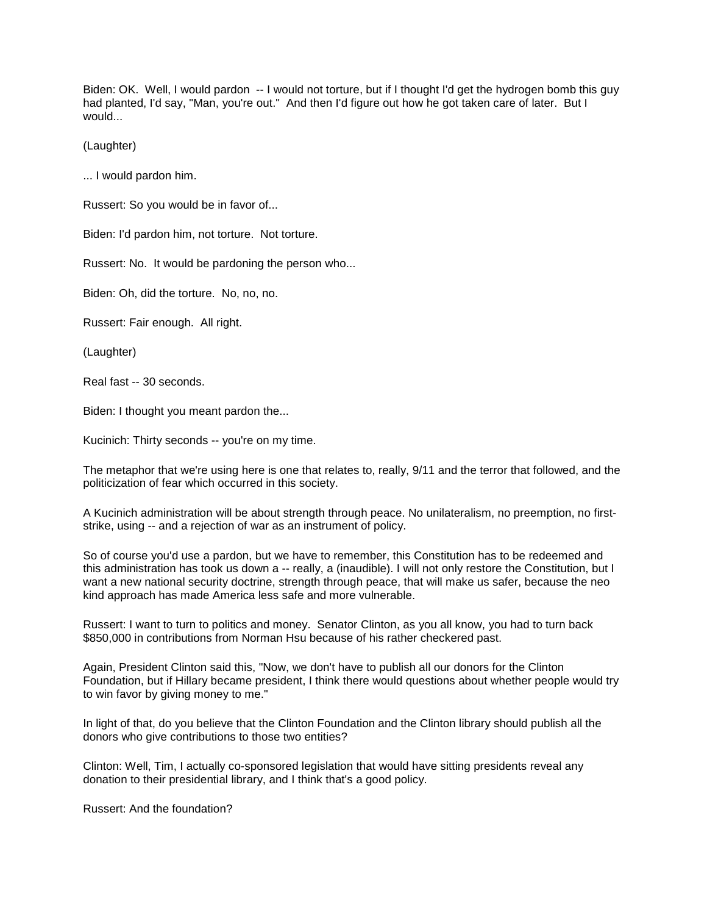Biden: OK. Well, I would pardon -- I would not torture, but if I thought I'd get the hydrogen bomb this guy had planted, I'd say, "Man, you're out." And then I'd figure out how he got taken care of later. But I would...

(Laughter)

... I would pardon him.

Russert: So you would be in favor of...

Biden: I'd pardon him, not torture. Not torture.

Russert: No. It would be pardoning the person who...

Biden: Oh, did the torture. No, no, no.

Russert: Fair enough. All right.

(Laughter)

Real fast -- 30 seconds.

Biden: I thought you meant pardon the...

Kucinich: Thirty seconds -- you're on my time.

The metaphor that we're using here is one that relates to, really, 9/11 and the terror that followed, and the politicization of fear which occurred in this society.

A Kucinich administration will be about strength through peace. No unilateralism, no preemption, no firststrike, using -- and a rejection of war as an instrument of policy.

So of course you'd use a pardon, but we have to remember, this Constitution has to be redeemed and this administration has took us down a -- really, a (inaudible). I will not only restore the Constitution, but I want a new national security doctrine, strength through peace, that will make us safer, because the neo kind approach has made America less safe and more vulnerable.

Russert: I want to turn to politics and money. Senator Clinton, as you all know, you had to turn back \$850,000 in contributions from Norman Hsu because of his rather checkered past.

Again, President Clinton said this, "Now, we don't have to publish all our donors for the Clinton Foundation, but if Hillary became president, I think there would questions about whether people would try to win favor by giving money to me."

In light of that, do you believe that the Clinton Foundation and the Clinton library should publish all the donors who give contributions to those two entities?

Clinton: Well, Tim, I actually co-sponsored legislation that would have sitting presidents reveal any donation to their presidential library, and I think that's a good policy.

Russert: And the foundation?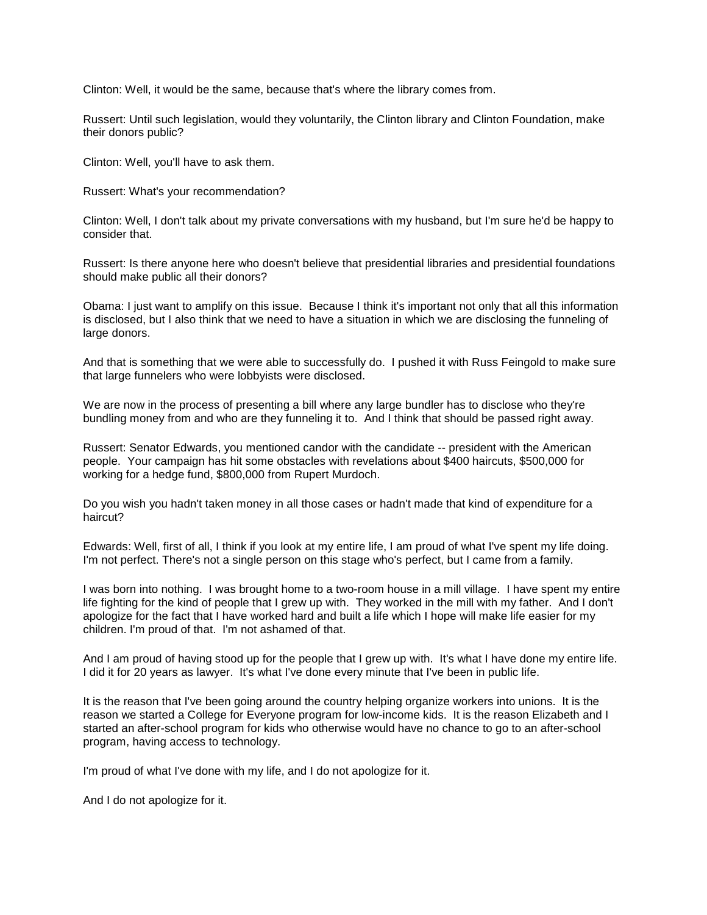Clinton: Well, it would be the same, because that's where the library comes from.

Russert: Until such legislation, would they voluntarily, the Clinton library and Clinton Foundation, make their donors public?

Clinton: Well, you'll have to ask them.

Russert: What's your recommendation?

Clinton: Well, I don't talk about my private conversations with my husband, but I'm sure he'd be happy to consider that.

Russert: Is there anyone here who doesn't believe that presidential libraries and presidential foundations should make public all their donors?

Obama: I just want to amplify on this issue. Because I think it's important not only that all this information is disclosed, but I also think that we need to have a situation in which we are disclosing the funneling of large donors.

And that is something that we were able to successfully do. I pushed it with Russ Feingold to make sure that large funnelers who were lobbyists were disclosed.

We are now in the process of presenting a bill where any large bundler has to disclose who they're bundling money from and who are they funneling it to. And I think that should be passed right away.

Russert: Senator Edwards, you mentioned candor with the candidate -- president with the American people. Your campaign has hit some obstacles with revelations about \$400 haircuts, \$500,000 for working for a hedge fund, \$800,000 from Rupert Murdoch.

Do you wish you hadn't taken money in all those cases or hadn't made that kind of expenditure for a haircut?

Edwards: Well, first of all, I think if you look at my entire life, I am proud of what I've spent my life doing. I'm not perfect. There's not a single person on this stage who's perfect, but I came from a family.

I was born into nothing. I was brought home to a two-room house in a mill village. I have spent my entire life fighting for the kind of people that I grew up with. They worked in the mill with my father. And I don't apologize for the fact that I have worked hard and built a life which I hope will make life easier for my children. I'm proud of that. I'm not ashamed of that.

And I am proud of having stood up for the people that I grew up with. It's what I have done my entire life. I did it for 20 years as lawyer. It's what I've done every minute that I've been in public life.

It is the reason that I've been going around the country helping organize workers into unions. It is the reason we started a College for Everyone program for low-income kids. It is the reason Elizabeth and I started an after-school program for kids who otherwise would have no chance to go to an after-school program, having access to technology.

I'm proud of what I've done with my life, and I do not apologize for it.

And I do not apologize for it.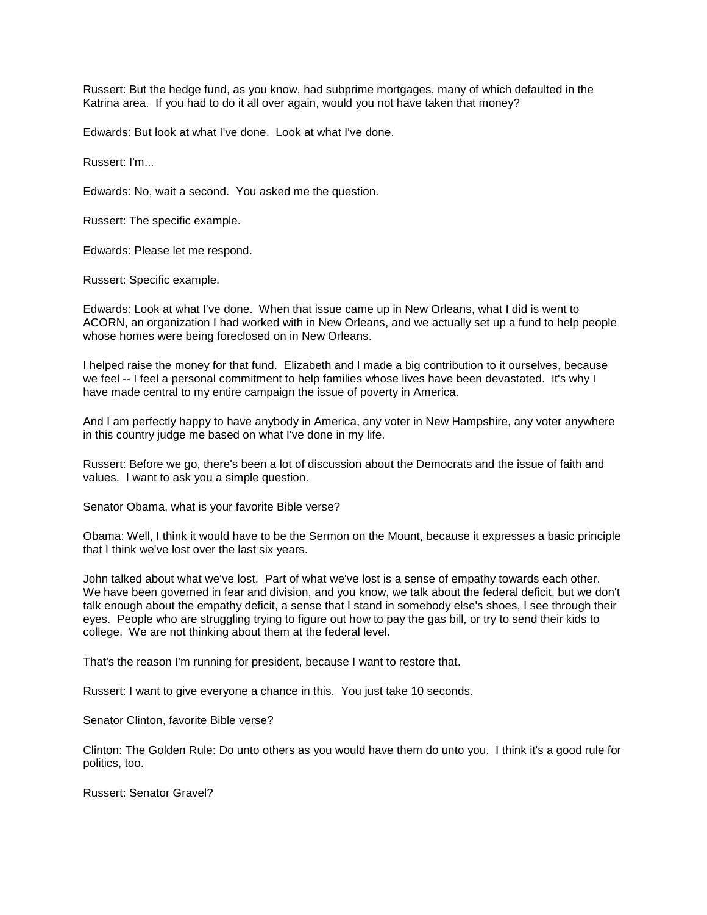Russert: But the hedge fund, as you know, had subprime mortgages, many of which defaulted in the Katrina area. If you had to do it all over again, would you not have taken that money?

Edwards: But look at what I've done. Look at what I've done.

Russert: I'm...

Edwards: No, wait a second. You asked me the question.

Russert: The specific example.

Edwards: Please let me respond.

Russert: Specific example.

Edwards: Look at what I've done. When that issue came up in New Orleans, what I did is went to ACORN, an organization I had worked with in New Orleans, and we actually set up a fund to help people whose homes were being foreclosed on in New Orleans.

I helped raise the money for that fund. Elizabeth and I made a big contribution to it ourselves, because we feel -- I feel a personal commitment to help families whose lives have been devastated. It's why I have made central to my entire campaign the issue of poverty in America.

And I am perfectly happy to have anybody in America, any voter in New Hampshire, any voter anywhere in this country judge me based on what I've done in my life.

Russert: Before we go, there's been a lot of discussion about the Democrats and the issue of faith and values. I want to ask you a simple question.

Senator Obama, what is your favorite Bible verse?

Obama: Well, I think it would have to be the Sermon on the Mount, because it expresses a basic principle that I think we've lost over the last six years.

John talked about what we've lost. Part of what we've lost is a sense of empathy towards each other. We have been governed in fear and division, and you know, we talk about the federal deficit, but we don't talk enough about the empathy deficit, a sense that I stand in somebody else's shoes, I see through their eyes. People who are struggling trying to figure out how to pay the gas bill, or try to send their kids to college. We are not thinking about them at the federal level.

That's the reason I'm running for president, because I want to restore that.

Russert: I want to give everyone a chance in this. You just take 10 seconds.

Senator Clinton, favorite Bible verse?

Clinton: The Golden Rule: Do unto others as you would have them do unto you. I think it's a good rule for politics, too.

Russert: Senator Gravel?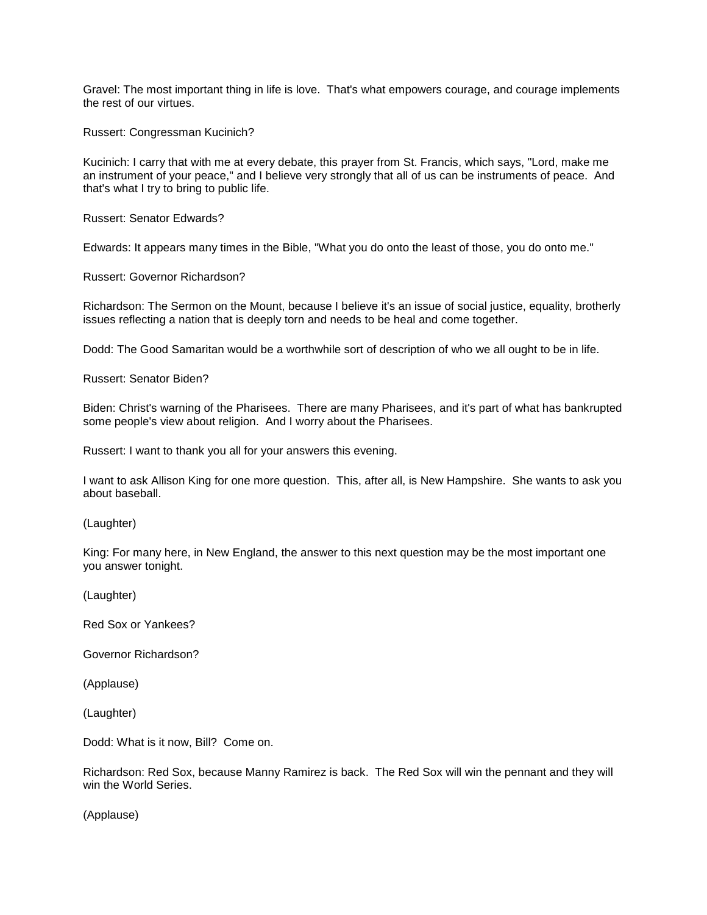Gravel: The most important thing in life is love. That's what empowers courage, and courage implements the rest of our virtues.

Russert: Congressman Kucinich?

Kucinich: I carry that with me at every debate, this prayer from St. Francis, which says, "Lord, make me an instrument of your peace," and I believe very strongly that all of us can be instruments of peace. And that's what I try to bring to public life.

Russert: Senator Edwards?

Edwards: It appears many times in the Bible, "What you do onto the least of those, you do onto me."

Russert: Governor Richardson?

Richardson: The Sermon on the Mount, because I believe it's an issue of social justice, equality, brotherly issues reflecting a nation that is deeply torn and needs to be heal and come together.

Dodd: The Good Samaritan would be a worthwhile sort of description of who we all ought to be in life.

Russert: Senator Biden?

Biden: Christ's warning of the Pharisees. There are many Pharisees, and it's part of what has bankrupted some people's view about religion. And I worry about the Pharisees.

Russert: I want to thank you all for your answers this evening.

I want to ask Allison King for one more question. This, after all, is New Hampshire. She wants to ask you about baseball.

(Laughter)

King: For many here, in New England, the answer to this next question may be the most important one you answer tonight.

(Laughter)

Red Sox or Yankees?

Governor Richardson?

(Applause)

(Laughter)

Dodd: What is it now, Bill? Come on.

Richardson: Red Sox, because Manny Ramirez is back. The Red Sox will win the pennant and they will win the World Series.

(Applause)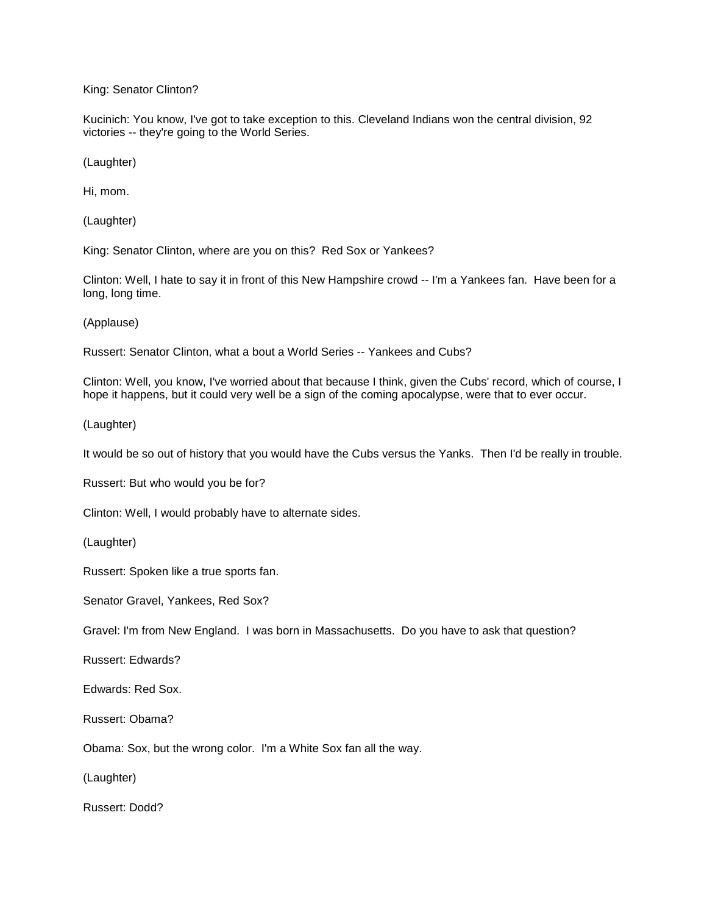King: Senator Clinton?

Kucinich: You know, I've got to take exception to this. Cleveland Indians won the central division, 92 victories -- they're going to the World Series.

(Laughter)

Hi, mom.

(Laughter)

King: Senator Clinton, where are you on this? Red Sox or Yankees?

Clinton: Well, I hate to say it in front of this New Hampshire crowd -- I'm a Yankees fan. Have been for a long, long time.

(Applause)

Russert: Senator Clinton, what a bout a World Series -- Yankees and Cubs?

Clinton: Well, you know, I've worried about that because I think, given the Cubs' record, which of course, I hope it happens, but it could very well be a sign of the coming apocalypse, were that to ever occur.

(Laughter)

It would be so out of history that you would have the Cubs versus the Yanks. Then I'd be really in trouble.

Russert: But who would you be for?

Clinton: Well, I would probably have to alternate sides.

(Laughter)

Russert: Spoken like a true sports fan.

Senator Gravel, Yankees, Red Sox?

Gravel: I'm from New England. I was born in Massachusetts. Do you have to ask that question?

Russert: Edwards?

Edwards: Red Sox.

Russert: Obama?

Obama: Sox, but the wrong color. I'm a White Sox fan all the way.

(Laughter)

Russert: Dodd?